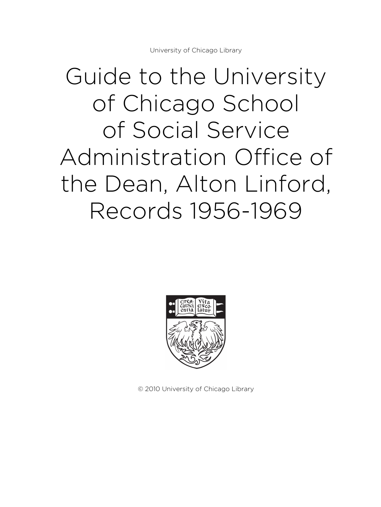# Guide to the University of Chicago School of Social Service Administration Office of the Dean, Alton Linford, Records 1956-1969



© 2010 University of Chicago Library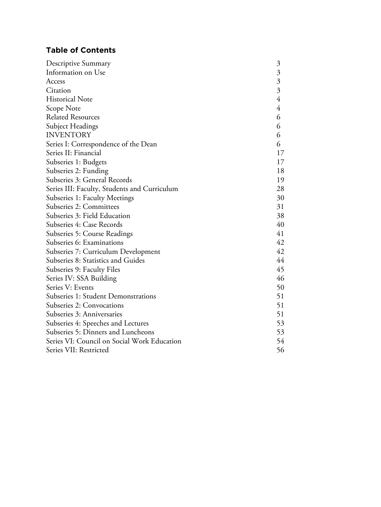# **Table of Contents**

| Descriptive Summary                          | $\mathfrak{Z}$            |
|----------------------------------------------|---------------------------|
| Information on Use                           | $\overline{\mathfrak{Z}}$ |
| Access                                       | $\frac{3}{3}$             |
| Citation                                     |                           |
| <b>Historical Note</b>                       | $\overline{4}$            |
| Scope Note                                   | 4                         |
| <b>Related Resources</b>                     | 6                         |
| Subject Headings                             | 6                         |
| <b>INVENTORY</b>                             | 6                         |
| Series I: Correspondence of the Dean         | 6                         |
| Series II: Financial                         | 17                        |
| Subseries 1: Budgets                         | 17                        |
| Subseries 2: Funding                         | 18                        |
| Subseries 3: General Records                 | 19                        |
| Series III: Faculty, Students and Curriculum | 28                        |
| Subseries 1: Faculty Meetings                | 30                        |
| Subseries 2: Committees                      | 31                        |
| Subseries 3: Field Education                 | 38                        |
| Subseries 4: Case Records                    | 40                        |
| Subseries 5: Course Readings                 | 41                        |
| Subseries 6: Examinations                    | 42                        |
| Subseries 7: Curriculum Development          | 42                        |
| Subseries 8: Statistics and Guides           | 44                        |
| Subseries 9: Faculty Files                   | 45                        |
| Series IV: SSA Building                      | 46                        |
| Series V: Events                             | 50                        |
| Subseries 1: Student Demonstrations          | 51                        |
| Subseries 2: Convocations                    | 51                        |
| Subseries 3: Anniversaries                   | 51                        |
| Subseries 4: Speeches and Lectures           | 53                        |
| Subseries 5: Dinners and Luncheons           | 53                        |
| Series VI: Council on Social Work Education  | 54                        |
| Series VII: Restricted                       | 56                        |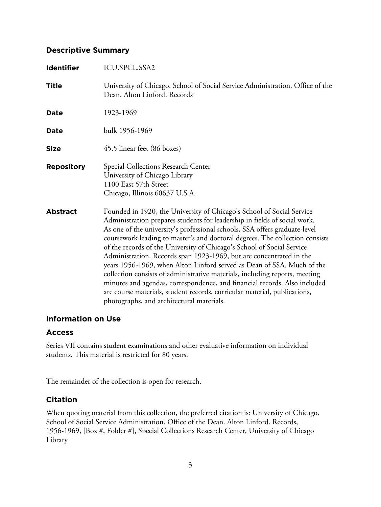# **Descriptive Summary**

| <b>Identifier</b> | ICU.SPCL.SSA2                                                                                                                                                                                                                                                                                                                                                                                                                                                                                                                                                                                                                                                                                                                                                                                                                     |
|-------------------|-----------------------------------------------------------------------------------------------------------------------------------------------------------------------------------------------------------------------------------------------------------------------------------------------------------------------------------------------------------------------------------------------------------------------------------------------------------------------------------------------------------------------------------------------------------------------------------------------------------------------------------------------------------------------------------------------------------------------------------------------------------------------------------------------------------------------------------|
| <b>Title</b>      | University of Chicago. School of Social Service Administration. Office of the<br>Dean. Alton Linford. Records                                                                                                                                                                                                                                                                                                                                                                                                                                                                                                                                                                                                                                                                                                                     |
| Date              | 1923-1969                                                                                                                                                                                                                                                                                                                                                                                                                                                                                                                                                                                                                                                                                                                                                                                                                         |
| Date              | bulk 1956-1969                                                                                                                                                                                                                                                                                                                                                                                                                                                                                                                                                                                                                                                                                                                                                                                                                    |
| <b>Size</b>       | 45.5 linear feet (86 boxes)                                                                                                                                                                                                                                                                                                                                                                                                                                                                                                                                                                                                                                                                                                                                                                                                       |
| <b>Repository</b> | Special Collections Research Center<br>University of Chicago Library<br>1100 East 57th Street<br>Chicago, Illinois 60637 U.S.A.                                                                                                                                                                                                                                                                                                                                                                                                                                                                                                                                                                                                                                                                                                   |
| <b>Abstract</b>   | Founded in 1920, the University of Chicago's School of Social Service<br>Administration prepares students for leadership in fields of social work.<br>As one of the university's professional schools, SSA offers graduate-level<br>coursework leading to master's and doctoral degrees. The collection consists<br>of the records of the University of Chicago's School of Social Service<br>Administration. Records span 1923-1969, but are concentrated in the<br>years 1956-1969, when Alton Linford served as Dean of SSA. Much of the<br>collection consists of administrative materials, including reports, meeting<br>minutes and agendas, correspondence, and financial records. Also included<br>are course materials, student records, curricular material, publications,<br>photographs, and architectural materials. |

# **Information on Use**

# **Access**

Series VII contains student examinations and other evaluative information on individual students. This material is restricted for 80 years.

The remainder of the collection is open for research.

# **Citation**

When quoting material from this collection, the preferred citation is: University of Chicago. School of Social Service Administration. Office of the Dean. Alton Linford. Records, 1956-1969, [Box #, Folder #], Special Collections Research Center, University of Chicago Library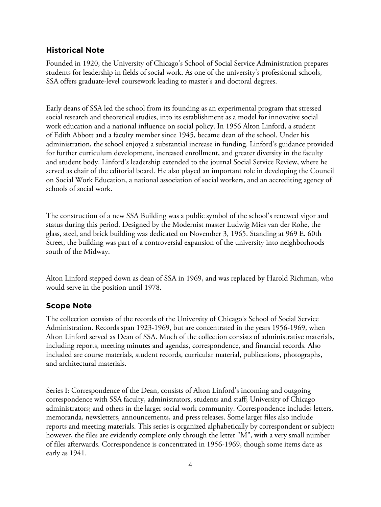## **Historical Note**

Founded in 1920, the University of Chicago's School of Social Service Administration prepares students for leadership in fields of social work. As one of the university's professional schools, SSA offers graduate-level coursework leading to master's and doctoral degrees.

Early deans of SSA led the school from its founding as an experimental program that stressed social research and theoretical studies, into its establishment as a model for innovative social work education and a national influence on social policy. In 1956 Alton Linford, a student of Edith Abbott and a faculty member since 1945, became dean of the school. Under his administration, the school enjoyed a substantial increase in funding. Linford's guidance provided for further curriculum development, increased enrollment, and greater diversity in the faculty and student body. Linford's leadership extended to the journal Social Service Review, where he served as chair of the editorial board. He also played an important role in developing the Council on Social Work Education, a national association of social workers, and an accrediting agency of schools of social work.

The construction of a new SSA Building was a public symbol of the school's renewed vigor and status during this period. Designed by the Modernist master Ludwig Mies van der Rohe, the glass, steel, and brick building was dedicated on November 3, 1965. Standing at 969 E. 60th Street, the building was part of a controversial expansion of the university into neighborhoods south of the Midway.

Alton Linford stepped down as dean of SSA in 1969, and was replaced by Harold Richman, who would serve in the position until 1978.

## **Scope Note**

The collection consists of the records of the University of Chicago's School of Social Service Administration. Records span 1923-1969, but are concentrated in the years 1956-1969, when Alton Linford served as Dean of SSA. Much of the collection consists of administrative materials, including reports, meeting minutes and agendas, correspondence, and financial records. Also included are course materials, student records, curricular material, publications, photographs, and architectural materials.

Series I: Correspondence of the Dean, consists of Alton Linford's incoming and outgoing correspondence with SSA faculty, administrators, students and staff; University of Chicago administrators; and others in the larger social work community. Correspondence includes letters, memoranda, newsletters, announcements, and press releases. Some larger files also include reports and meeting materials. This series is organized alphabetically by correspondent or subject; however, the files are evidently complete only through the letter "M", with a very small number of files afterwards. Correspondence is concentrated in 1956-1969, though some items date as early as 1941.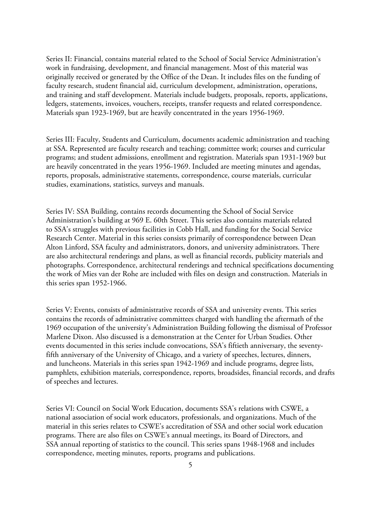Series II: Financial, contains material related to the School of Social Service Administration's work in fundraising, development, and financial management. Most of this material was originally received or generated by the Office of the Dean. It includes files on the funding of faculty research, student financial aid, curriculum development, administration, operations, and training and staff development. Materials include budgets, proposals, reports, applications, ledgers, statements, invoices, vouchers, receipts, transfer requests and related correspondence. Materials span 1923-1969, but are heavily concentrated in the years 1956-1969.

Series III: Faculty, Students and Curriculum, documents academic administration and teaching at SSA. Represented are faculty research and teaching; committee work; courses and curricular programs; and student admissions, enrollment and registration. Materials span 1931-1969 but are heavily concentrated in the years 1956-1969. Included are meeting minutes and agendas, reports, proposals, administrative statements, correspondence, course materials, curricular studies, examinations, statistics, surveys and manuals.

Series IV: SSA Building, contains records documenting the School of Social Service Administration's building at 969 E. 60th Street. This series also contains materials related to SSA's struggles with previous facilities in Cobb Hall, and funding for the Social Service Research Center. Material in this series consists primarily of correspondence between Dean Alton Linford, SSA faculty and administrators, donors, and university administrators. There are also architectural renderings and plans, as well as financial records, publicity materials and photographs. Correspondence, architectural renderings and technical specifications documenting the work of Mies van der Rohe are included with files on design and construction. Materials in this series span 1952-1966.

Series V: Events, consists of administrative records of SSA and university events. This series contains the records of administrative committees charged with handling the aftermath of the 1969 occupation of the university's Administration Building following the dismissal of Professor Marlene Dixon. Also discussed is a demonstration at the Center for Urban Studies. Other events documented in this series include convocations, SSA's fiftieth anniversary, the seventyfifth anniversary of the University of Chicago, and a variety of speeches, lectures, dinners, and luncheons. Materials in this series span 1942-1969 and include programs, degree lists, pamphlets, exhibition materials, correspondence, reports, broadsides, financial records, and drafts of speeches and lectures.

Series VI: Council on Social Work Education, documents SSA's relations with CSWE, a national association of social work educators, professionals, and organizations. Much of the material in this series relates to CSWE's accreditation of SSA and other social work education programs. There are also files on CSWE's annual meetings, its Board of Directors, and SSA annual reporting of statistics to the council. This series spans 1948-1968 and includes correspondence, meeting minutes, reports, programs and publications.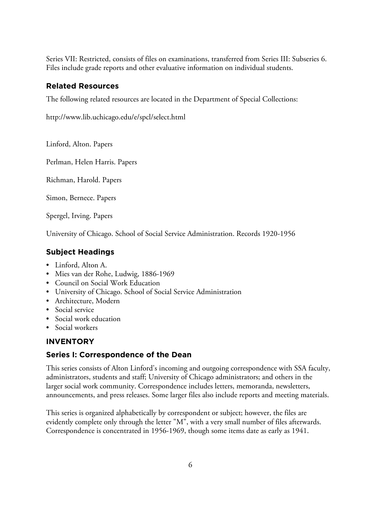Series VII: Restricted, consists of files on examinations, transferred from Series III: Subseries 6. Files include grade reports and other evaluative information on individual students.

# **Related Resources**

The following related resources are located in the Department of Special Collections:

http://www.lib.uchicago.edu/e/spcl/select.html

Linford, Alton. Papers

Perlman, Helen Harris. Papers

Richman, Harold. Papers

Simon, Bernece. Papers

Spergel, Irving. Papers

University of Chicago. School of Social Service Administration. Records 1920-1956

# **Subject Headings**

- Linford, Alton A.
- Mies van der Rohe, Ludwig, 1886-1969
- Council on Social Work Education
- University of Chicago. School of Social Service Administration
- Architecture, Modern
- Social service
- Social work education
- Social workers

# **INVENTORY**

# **Series I: Correspondence of the Dean**

This series consists of Alton Linford's incoming and outgoing correspondence with SSA faculty, administrators, students and staff; University of Chicago administrators; and others in the larger social work community. Correspondence includes letters, memoranda, newsletters, announcements, and press releases. Some larger files also include reports and meeting materials.

This series is organized alphabetically by correspondent or subject; however, the files are evidently complete only through the letter "M", with a very small number of files afterwards. Correspondence is concentrated in 1956-1969, though some items date as early as 1941.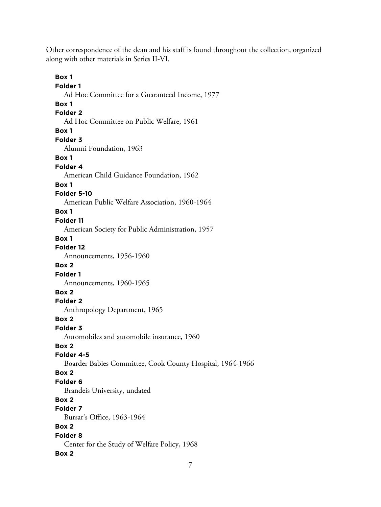Other correspondence of the dean and his staff is found throughout the collection, organized along with other materials in Series II-VI.

**Box 1 Folder 1** Ad Hoc Committee for a Guaranteed Income, 1977 **Box 1 Folder 2** Ad Hoc Committee on Public Welfare, 1961 **Box 1 Folder 3** Alumni Foundation, 1963 **Box 1 Folder 4** American Child Guidance Foundation, 1962 **Box 1 Folder 5-10** American Public Welfare Association, 1960-1964 **Box 1 Folder 11** American Society for Public Administration, 1957 **Box 1 Folder 12** Announcements, 1956-1960 **Box 2 Folder 1** Announcements, 1960-1965 **Box 2 Folder 2** Anthropology Department, 1965 **Box 2 Folder 3** Automobiles and automobile insurance, 1960 **Box 2 Folder 4-5** Boarder Babies Committee, Cook County Hospital, 1964-1966 **Box 2 Folder 6** Brandeis University, undated **Box 2 Folder 7** Bursar's Office, 1963-1964 **Box 2 Folder 8** Center for the Study of Welfare Policy, 1968 **Box 2**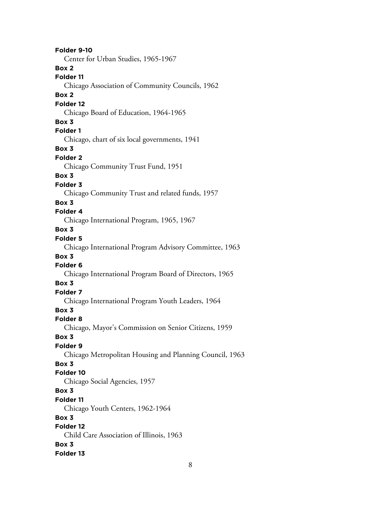8 **Folder 9-10** Center for Urban Studies, 1965-1967 **Box 2 Folder 11** Chicago Association of Community Councils, 1962 **Box 2 Folder 12** Chicago Board of Education, 1964-1965 **Box 3 Folder 1** Chicago, chart of six local governments, 1941 **Box 3 Folder 2** Chicago Community Trust Fund, 1951 **Box 3 Folder 3** Chicago Community Trust and related funds, 1957 **Box 3 Folder 4** Chicago International Program, 1965, 1967 **Box 3 Folder 5** Chicago International Program Advisory Committee, 1963 **Box 3 Folder 6** Chicago International Program Board of Directors, 1965 **Box 3 Folder 7** Chicago International Program Youth Leaders, 1964 **Box 3 Folder 8** Chicago, Mayor's Commission on Senior Citizens, 1959 **Box 3 Folder 9** Chicago Metropolitan Housing and Planning Council, 1963 **Box 3 Folder 10** Chicago Social Agencies, 1957 **Box 3 Folder 11** Chicago Youth Centers, 1962-1964 **Box 3 Folder 12** Child Care Association of Illinois, 1963 **Box 3 Folder 13**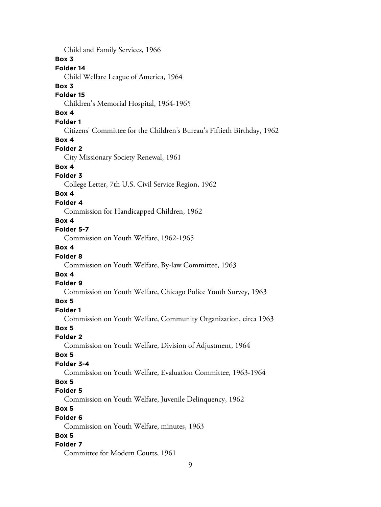9 Child and Family Services, 1966 **Box 3 Folder 14** Child Welfare League of America, 1964 **Box 3 Folder 15** Children's Memorial Hospital, 1964-1965 **Box 4 Folder 1** Citizens' Committee for the Children's Bureau's Fiftieth Birthday, 1962 **Box 4 Folder 2** City Missionary Society Renewal, 1961 **Box 4 Folder 3** College Letter, 7th U.S. Civil Service Region, 1962 **Box 4 Folder 4** Commission for Handicapped Children, 1962 **Box 4 Folder 5-7** Commission on Youth Welfare, 1962-1965 **Box 4 Folder 8** Commission on Youth Welfare, By-law Committee, 1963 **Box 4 Folder 9** Commission on Youth Welfare, Chicago Police Youth Survey, 1963 **Box 5 Folder 1** Commission on Youth Welfare, Community Organization, circa 1963 **Box 5 Folder 2** Commission on Youth Welfare, Division of Adjustment, 1964 **Box 5 Folder 3-4** Commission on Youth Welfare, Evaluation Committee, 1963-1964 **Box 5 Folder 5** Commission on Youth Welfare, Juvenile Delinquency, 1962 **Box 5 Folder 6** Commission on Youth Welfare, minutes, 1963 **Box 5 Folder 7** Committee for Modern Courts, 1961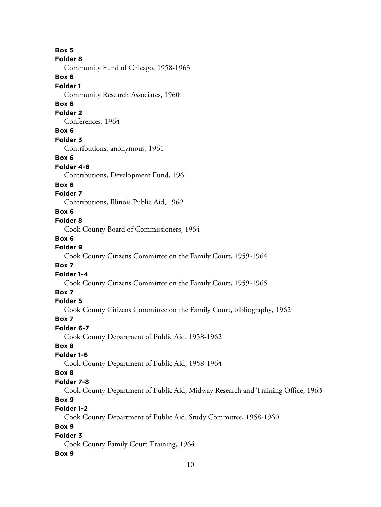**Box 5 Folder 8** Community Fund of Chicago, 1958-1963 **Box 6 Folder 1** Community Research Associates, 1960 **Box 6 Folder 2** Conferences, 1964 **Box 6 Folder 3** Contributions, anonymous, 1961 **Box 6 Folder 4-6** Contributions, Development Fund, 1961 **Box 6 Folder 7** Contributions, Illinois Public Aid, 1962 **Box 6 Folder 8** Cook County Board of Commissioners, 1964 **Box 6 Folder 9** Cook County Citizens Committee on the Family Court, 1959-1964 **Box 7 Folder 1-4** Cook County Citizens Committee on the Family Court, 1959-1965 **Box 7 Folder 5** Cook County Citizens Committee on the Family Court, bibliography, 1962 **Box 7 Folder 6-7** Cook County Department of Public Aid, 1958-1962 **Box 8 Folder 1-6** Cook County Department of Public Aid, 1958-1964 **Box 8 Folder 7-8** Cook County Department of Public Aid, Midway Research and Training Office, 1963 **Box 9 Folder 1-2** Cook County Department of Public Aid, Study Committee, 1958-1960 **Box 9 Folder 3** Cook County Family Court Training, 1964 **Box 9**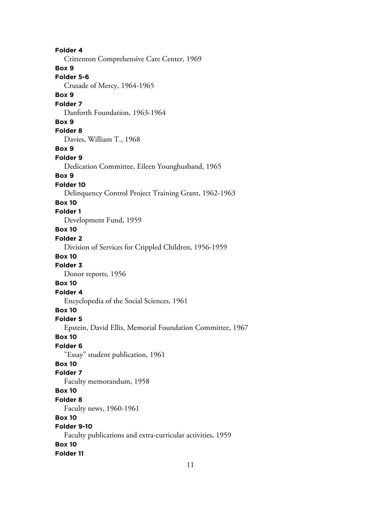**Folder 4** Crittenton Comprehensive Care Center, 1969 **Box 9 Folder 5-6** Crusade of Mercy, 1964-1965 **Box 9 Folder 7** Danforth Foundation, 1963-1964 **Box 9 Folder 8** Davies, William T., 1968 **Box 9 Folder 9** Dedication Committee, Eileen Younghusband, 1965 **Box 9 Folder 10** Delinquency Control Project Training Grant, 1962-1963 **Box 10 Folder 1** Development Fund, 1959 **Box 10 Folder 2** Division of Services for Crippled Children, 1956-1959 **Box 10 Folder 3** Donor reports, 1956 **Box 10 Folder 4** Encyclopedia of the Social Sciences, 1961 **Box 10 Folder 5** Epstein, David Ellis, Memorial Foundation Committee, 1967 **Box 10 Folder 6** "Essay" student publication, 1961 **Box 10 Folder 7** Faculty memorandum, 1958 **Box 10 Folder 8** Faculty news, 1960-1961 **Box 10 Folder 9-10** Faculty publications and extra-curricular activities, 1959 **Box 10 Folder 11**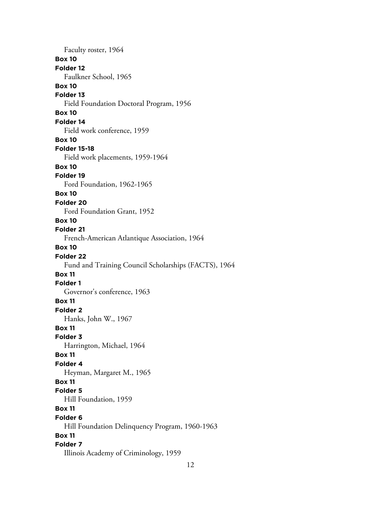Faculty roster, 1964 **Box 10 Folder 12** Faulkner School, 1965 **Box 10 Folder 13** Field Foundation Doctoral Program, 1956 **Box 10 Folder 14** Field work conference, 1959 **Box 10 Folder 15-18** Field work placements, 1959-1964 **Box 10 Folder 19** Ford Foundation, 1962-1965 **Box 10 Folder 20** Ford Foundation Grant, 1952 **Box 10 Folder 21** French-American Atlantique Association, 1964 **Box 10 Folder 22** Fund and Training Council Scholarships (FACTS), 1964 **Box 11 Folder 1** Governor's conference, 1963 **Box 11 Folder 2** Hanks, John W., 1967 **Box 11 Folder 3** Harrington, Michael, 1964 **Box 11 Folder 4** Heyman, Margaret M., 1965 **Box 11 Folder 5** Hill Foundation, 1959 **Box 11 Folder 6** Hill Foundation Delinquency Program, 1960-1963 **Box 11 Folder 7** Illinois Academy of Criminology, 1959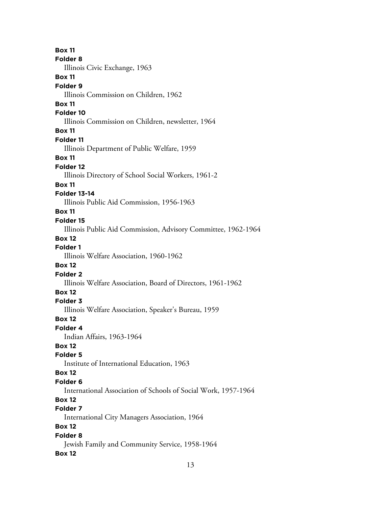**Box 11 Folder 8** Illinois Civic Exchange, 1963 **Box 11 Folder 9** Illinois Commission on Children, 1962 **Box 11 Folder 10** Illinois Commission on Children, newsletter, 1964 **Box 11 Folder 11** Illinois Department of Public Welfare, 1959 **Box 11 Folder 12** Illinois Directory of School Social Workers, 1961-2 **Box 11 Folder 13-14** Illinois Public Aid Commission, 1956-1963 **Box 11 Folder 15** Illinois Public Aid Commission, Advisory Committee, 1962-1964 **Box 12 Folder 1** Illinois Welfare Association, 1960-1962 **Box 12 Folder 2** Illinois Welfare Association, Board of Directors, 1961-1962 **Box 12 Folder 3** Illinois Welfare Association, Speaker's Bureau, 1959 **Box 12 Folder 4** Indian Affairs, 1963-1964 **Box 12 Folder 5** Institute of International Education, 1963 **Box 12 Folder 6** International Association of Schools of Social Work, 1957-1964 **Box 12 Folder 7** International City Managers Association, 1964 **Box 12 Folder 8** Jewish Family and Community Service, 1958-1964 **Box 12**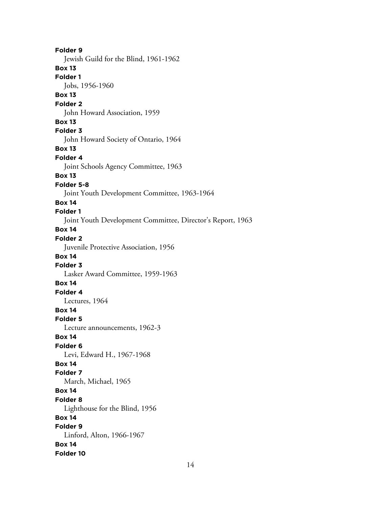**Folder 9** Jewish Guild for the Blind, 1961-1962 **Box 13 Folder 1** Jobs, 1956-1960 **Box 13 Folder 2** John Howard Association, 1959 **Box 13 Folder 3** John Howard Society of Ontario, 1964 **Box 13 Folder 4** Joint Schools Agency Committee, 1963 **Box 13 Folder 5-8** Joint Youth Development Committee, 1963-1964 **Box 14 Folder 1** Joint Youth Development Committee, Director's Report, 1963 **Box 14 Folder 2** Juvenile Protective Association, 1956 **Box 14 Folder 3** Lasker Award Committee, 1959-1963 **Box 14 Folder 4** Lectures, 1964 **Box 14 Folder 5** Lecture announcements, 1962-3 **Box 14 Folder 6** Levi, Edward H., 1967-1968 **Box 14 Folder 7** March, Michael, 1965 **Box 14 Folder 8** Lighthouse for the Blind, 1956 **Box 14 Folder 9** Linford, Alton, 1966-1967 **Box 14 Folder 10**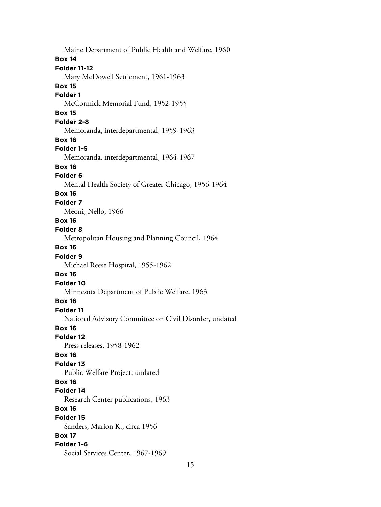Maine Department of Public Health and Welfare, 1960 **Box 14 Folder 11-12** Mary McDowell Settlement, 1961-1963 **Box 15 Folder 1** McCormick Memorial Fund, 1952-1955 **Box 15 Folder 2-8** Memoranda, interdepartmental, 1959-1963 **Box 16 Folder 1-5** Memoranda, interdepartmental, 1964-1967 **Box 16 Folder 6** Mental Health Society of Greater Chicago, 1956-1964 **Box 16 Folder 7** Meoni, Nello, 1966 **Box 16 Folder 8** Metropolitan Housing and Planning Council, 1964 **Box 16 Folder 9** Michael Reese Hospital, 1955-1962 **Box 16 Folder 10** Minnesota Department of Public Welfare, 1963 **Box 16 Folder 11** National Advisory Committee on Civil Disorder, undated **Box 16 Folder 12** Press releases, 1958-1962 **Box 16 Folder 13** Public Welfare Project, undated **Box 16 Folder 14** Research Center publications, 1963 **Box 16 Folder 15** Sanders, Marion K., circa 1956 **Box 17 Folder 1-6** Social Services Center, 1967-1969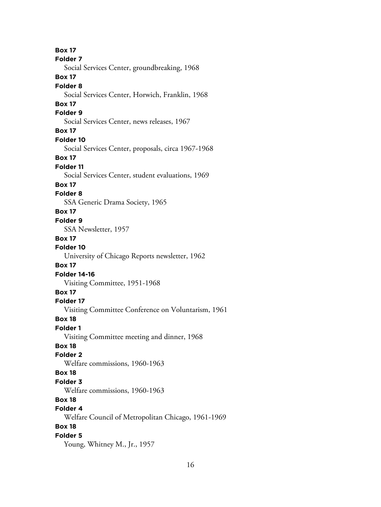**Box 17 Folder 7** Social Services Center, groundbreaking, 1968 **Box 17 Folder 8** Social Services Center, Horwich, Franklin, 1968 **Box 17 Folder 9** Social Services Center, news releases, 1967 **Box 17 Folder 10** Social Services Center, proposals, circa 1967-1968 **Box 17 Folder 11** Social Services Center, student evaluations, 1969 **Box 17 Folder 8** SSA Generic Drama Society, 1965 **Box 17 Folder 9** SSA Newsletter, 1957 **Box 17 Folder 10** University of Chicago Reports newsletter, 1962 **Box 17 Folder 14-16** Visiting Committee, 1951-1968 **Box 17 Folder 17** Visiting Committee Conference on Voluntarism, 1961 **Box 18 Folder 1** Visiting Committee meeting and dinner, 1968 **Box 18 Folder 2** Welfare commissions, 1960-1963 **Box 18 Folder 3** Welfare commissions, 1960-1963 **Box 18 Folder 4** Welfare Council of Metropolitan Chicago, 1961-1969 **Box 18 Folder 5** Young, Whitney M., Jr., 1957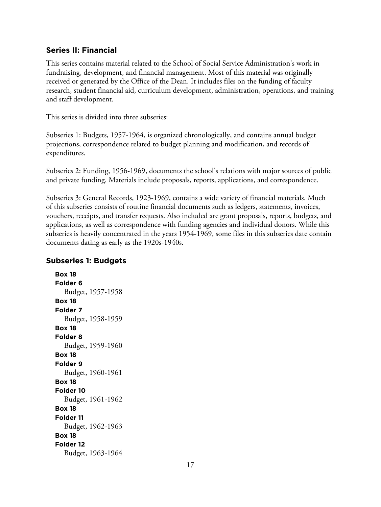## **Series II: Financial**

This series contains material related to the School of Social Service Administration's work in fundraising, development, and financial management. Most of this material was originally received or generated by the Office of the Dean. It includes files on the funding of faculty research, student financial aid, curriculum development, administration, operations, and training and staff development.

This series is divided into three subseries:

Subseries 1: Budgets, 1957-1964, is organized chronologically, and contains annual budget projections, correspondence related to budget planning and modification, and records of expenditures.

Subseries 2: Funding, 1956-1969, documents the school's relations with major sources of public and private funding. Materials include proposals, reports, applications, and correspondence.

Subseries 3: General Records, 1923-1969, contains a wide variety of financial materials. Much of this subseries consists of routine financial documents such as ledgers, statements, invoices, vouchers, receipts, and transfer requests. Also included are grant proposals, reports, budgets, and applications, as well as correspondence with funding agencies and individual donors. While this subseries is heavily concentrated in the years 1954-1969, some files in this subseries date contain documents dating as early as the 1920s-1940s.

## **Subseries 1: Budgets**

**Box 18 Folder 6** Budget, 1957-1958 **Box 18 Folder 7** Budget, 1958-1959 **Box 18 Folder 8** Budget, 1959-1960 **Box 18 Folder 9** Budget, 1960-1961 **Box 18 Folder 10** Budget, 1961-1962 **Box 18 Folder 11** Budget, 1962-1963 **Box 18 Folder 12** Budget, 1963-1964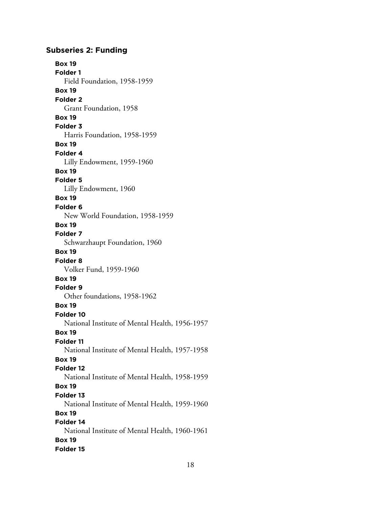## **Subseries 2: Funding**

**Box 19 Folder 1** Field Foundation, 1958-1959 **Box 19 Folder 2** Grant Foundation, 1958 **Box 19 Folder 3** Harris Foundation, 1958-1959 **Box 19 Folder 4** Lilly Endowment, 1959-1960 **Box 19 Folder 5** Lilly Endowment, 1960 **Box 19 Folder 6** New World Foundation, 1958-1959 **Box 19 Folder 7** Schwarzhaupt Foundation, 1960 **Box 19 Folder 8** Volker Fund, 1959-1960 **Box 19 Folder 9** Other foundations, 1958-1962 **Box 19 Folder 10** National Institute of Mental Health, 1956-1957 **Box 19 Folder 11** National Institute of Mental Health, 1957-1958 **Box 19 Folder 12** National Institute of Mental Health, 1958-1959 **Box 19 Folder 13** National Institute of Mental Health, 1959-1960 **Box 19 Folder 14** National Institute of Mental Health, 1960-1961 **Box 19 Folder 15**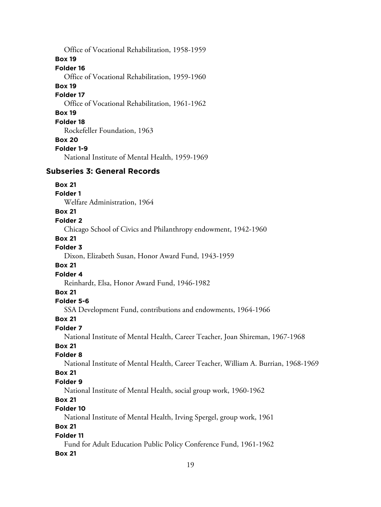Office of Vocational Rehabilitation, 1958-1959 **Box 19 Folder 16** Office of Vocational Rehabilitation, 1959-1960 **Box 19 Folder 17** Office of Vocational Rehabilitation, 1961-1962 **Box 19 Folder 18** Rockefeller Foundation, 1963 **Box 20 Folder 1-9** National Institute of Mental Health, 1959-1969

# **Subseries 3: General Records**

**Box 21**

**Folder 1**

Welfare Administration, 1964

## **Box 21**

#### **Folder 2**

Chicago School of Civics and Philanthropy endowment, 1942-1960

#### **Box 21**

#### **Folder 3**

Dixon, Elizabeth Susan, Honor Award Fund, 1943-1959

#### **Box 21**

#### **Folder 4**

Reinhardt, Elsa, Honor Award Fund, 1946-1982

## **Box 21**

## **Folder 5-6**

SSA Development Fund, contributions and endowments, 1964-1966

#### **Box 21**

## **Folder 7**

National Institute of Mental Health, Career Teacher, Joan Shireman, 1967-1968

### **Box 21**

## **Folder 8**

National Institute of Mental Health, Career Teacher, William A. Burrian, 1968-1969

## **Box 21**

#### **Folder 9**

National Institute of Mental Health, social group work, 1960-1962

## **Box 21**

# **Folder 10**

National Institute of Mental Health, Irving Spergel, group work, 1961

## **Box 21**

#### **Folder 11**

Fund for Adult Education Public Policy Conference Fund, 1961-1962 **Box 21**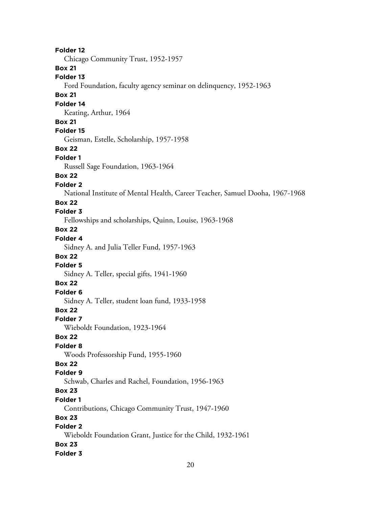**Folder 12** Chicago Community Trust, 1952-1957 **Box 21 Folder 13** Ford Foundation, faculty agency seminar on delinquency, 1952-1963 **Box 21 Folder 14** Keating, Arthur, 1964 **Box 21 Folder 15** Geisman, Estelle, Scholarship, 1957-1958 **Box 22 Folder 1** Russell Sage Foundation, 1963-1964 **Box 22 Folder 2** National Institute of Mental Health, Career Teacher, Samuel Dooha, 1967-1968 **Box 22 Folder 3** Fellowships and scholarships, Quinn, Louise, 1963-1968 **Box 22 Folder 4** Sidney A. and Julia Teller Fund, 1957-1963 **Box 22 Folder 5** Sidney A. Teller, special gifts, 1941-1960 **Box 22 Folder 6** Sidney A. Teller, student loan fund, 1933-1958 **Box 22 Folder 7** Wieboldt Foundation, 1923-1964 **Box 22 Folder 8** Woods Professorship Fund, 1955-1960 **Box 22 Folder 9** Schwab, Charles and Rachel, Foundation, 1956-1963 **Box 23 Folder 1** Contributions, Chicago Community Trust, 1947-1960 **Box 23 Folder 2** Wieboldt Foundation Grant, Justice for the Child, 1932-1961 **Box 23 Folder 3**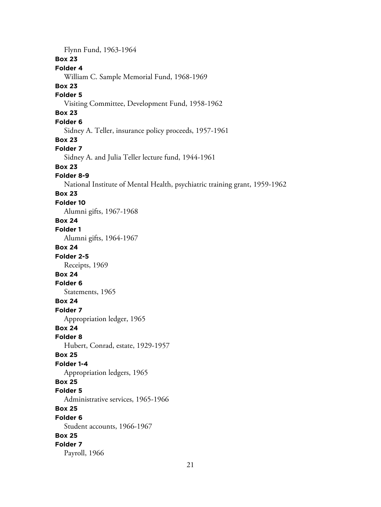Flynn Fund, 1963-1964 **Box 23 Folder 4** William C. Sample Memorial Fund, 1968-1969 **Box 23 Folder 5** Visiting Committee, Development Fund, 1958-1962 **Box 23 Folder 6** Sidney A. Teller, insurance policy proceeds, 1957-1961 **Box 23 Folder 7** Sidney A. and Julia Teller lecture fund, 1944-1961 **Box 23 Folder 8-9** National Institute of Mental Health, psychiatric training grant, 1959-1962 **Box 23 Folder 10** Alumni gifts, 1967-1968 **Box 24 Folder 1** Alumni gifts, 1964-1967 **Box 24 Folder 2-5** Receipts, 1969 **Box 24 Folder 6** Statements, 1965 **Box 24 Folder 7** Appropriation ledger, 1965 **Box 24 Folder 8** Hubert, Conrad, estate, 1929-1957 **Box 25 Folder 1-4** Appropriation ledgers, 1965 **Box 25 Folder 5** Administrative services, 1965-1966 **Box 25 Folder 6** Student accounts, 1966-1967 **Box 25 Folder 7** Payroll, 1966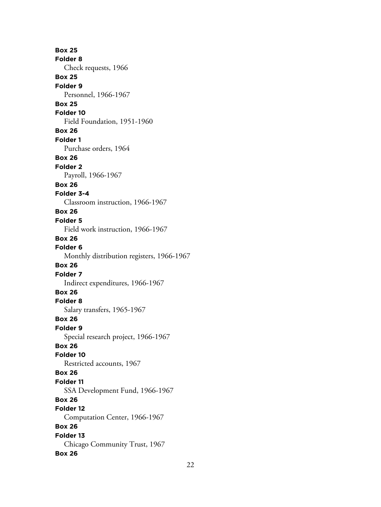**Box 25 Folder 8** Check requests, 1966 **Box 25 Folder 9** Personnel, 1966-1967 **Box 25 Folder 10** Field Foundation, 1951-1960 **Box 26 Folder 1** Purchase orders, 1964 **Box 26 Folder 2** Payroll, 1966-1967 **Box 26 Folder 3-4** Classroom instruction, 1966-1967 **Box 26 Folder 5** Field work instruction, 1966-1967 **Box 26 Folder 6** Monthly distribution registers, 1966-1967 **Box 26 Folder 7** Indirect expenditures, 1966-1967 **Box 26 Folder 8** Salary transfers, 1965-1967 **Box 26 Folder 9** Special research project, 1966-1967 **Box 26 Folder 10** Restricted accounts, 1967 **Box 26 Folder 11** SSA Development Fund, 1966-1967 **Box 26 Folder 12** Computation Center, 1966-1967 **Box 26 Folder 13** Chicago Community Trust, 1967 **Box 26**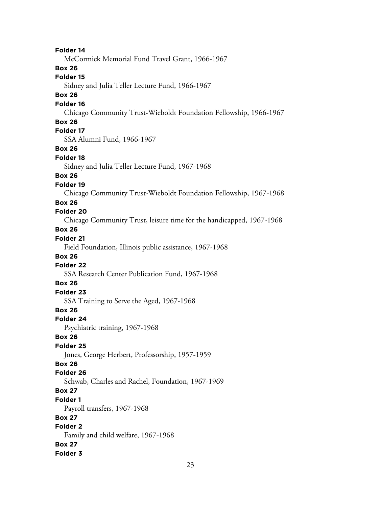**Folder 14** McCormick Memorial Fund Travel Grant, 1966-1967 **Box 26 Folder 15** Sidney and Julia Teller Lecture Fund, 1966-1967 **Box 26 Folder 16** Chicago Community Trust-Wieboldt Foundation Fellowship, 1966-1967 **Box 26 Folder 17** SSA Alumni Fund, 1966-1967 **Box 26 Folder 18** Sidney and Julia Teller Lecture Fund, 1967-1968 **Box 26 Folder 19** Chicago Community Trust-Wieboldt Foundation Fellowship, 1967-1968 **Box 26 Folder 20** Chicago Community Trust, leisure time for the handicapped, 1967-1968 **Box 26 Folder 21** Field Foundation, Illinois public assistance, 1967-1968 **Box 26 Folder 22** SSA Research Center Publication Fund, 1967-1968 **Box 26 Folder 23** SSA Training to Serve the Aged, 1967-1968 **Box 26 Folder 24** Psychiatric training, 1967-1968 **Box 26 Folder 25** Jones, George Herbert, Professorship, 1957-1959 **Box 26 Folder 26** Schwab, Charles and Rachel, Foundation, 1967-1969 **Box 27 Folder 1** Payroll transfers, 1967-1968 **Box 27 Folder 2** Family and child welfare, 1967-1968 **Box 27 Folder 3**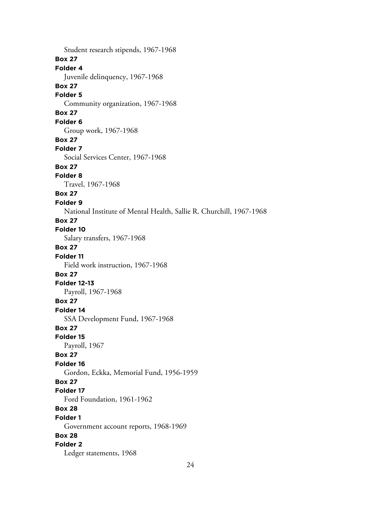Student research stipends, 1967-1968 **Box 27 Folder 4** Juvenile delinquency, 1967-1968 **Box 27 Folder 5** Community organization, 1967-1968 **Box 27 Folder 6** Group work, 1967-1968 **Box 27 Folder 7** Social Services Center, 1967-1968 **Box 27 Folder 8** Travel, 1967-1968 **Box 27 Folder 9** National Institute of Mental Health, Sallie R. Churchill, 1967-1968 **Box 27 Folder 10** Salary transfers, 1967-1968 **Box 27 Folder 11** Field work instruction, 1967-1968 **Box 27 Folder 12-13** Payroll, 1967-1968 **Box 27 Folder 14** SSA Development Fund, 1967-1968 **Box 27 Folder 15** Payroll, 1967 **Box 27 Folder 16** Gordon, Eckka, Memorial Fund, 1956-1959 **Box 27 Folder 17** Ford Foundation, 1961-1962 **Box 28 Folder 1** Government account reports, 1968-1969 **Box 28 Folder 2** Ledger statements, 1968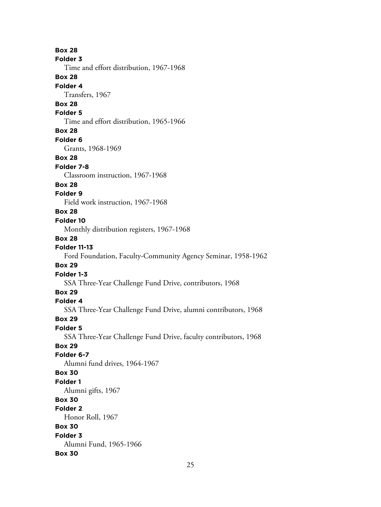**Box 28 Folder 3** Time and effort distribution, 1967-1968 **Box 28 Folder 4** Transfers, 1967 **Box 28 Folder 5** Time and effort distribution, 1965-1966 **Box 28 Folder 6** Grants, 1968-1969 **Box 28 Folder 7-8** Classroom instruction, 1967-1968 **Box 28 Folder 9** Field work instruction, 1967-1968 **Box 28 Folder 10** Monthly distribution registers, 1967-1968 **Box 28 Folder 11-13** Ford Foundation, Faculty-Community Agency Seminar, 1958-1962 **Box 29 Folder 1-3** SSA Three-Year Challenge Fund Drive, contributors, 1968 **Box 29 Folder 4** SSA Three-Year Challenge Fund Drive, alumni contributors, 1968 **Box 29 Folder 5** SSA Three-Year Challenge Fund Drive, faculty contributors, 1968 **Box 29 Folder 6-7** Alumni fund drives, 1964-1967 **Box 30 Folder 1** Alumni gifts, 1967 **Box 30 Folder 2** Honor Roll, 1967 **Box 30 Folder 3** Alumni Fund, 1965-1966 **Box 30**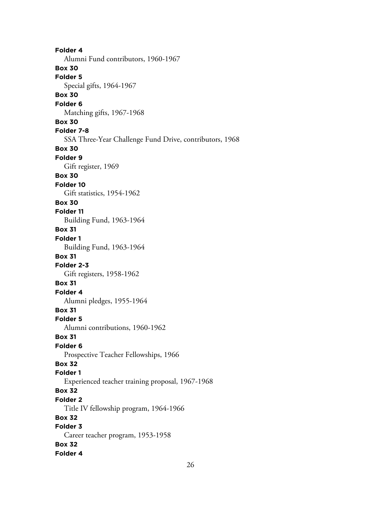**Folder 4** Alumni Fund contributors, 1960-1967 **Box 30 Folder 5** Special gifts, 1964-1967 **Box 30 Folder 6** Matching gifts, 1967-1968 **Box 30 Folder 7-8** SSA Three-Year Challenge Fund Drive, contributors, 1968 **Box 30 Folder 9** Gift register, 1969 **Box 30 Folder 10** Gift statistics, 1954-1962 **Box 30 Folder 11** Building Fund, 1963-1964 **Box 31 Folder 1** Building Fund, 1963-1964 **Box 31 Folder 2-3** Gift registers, 1958-1962 **Box 31 Folder 4** Alumni pledges, 1955-1964 **Box 31 Folder 5** Alumni contributions, 1960-1962 **Box 31 Folder 6** Prospective Teacher Fellowships, 1966 **Box 32 Folder 1** Experienced teacher training proposal, 1967-1968 **Box 32 Folder 2** Title IV fellowship program, 1964-1966 **Box 32 Folder 3** Career teacher program, 1953-1958 **Box 32 Folder 4**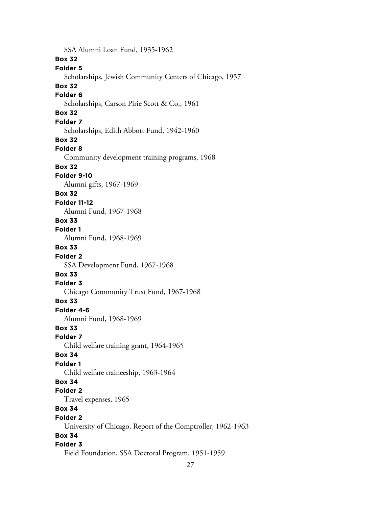SSA Alumni Loan Fund, 1935-1962 **Box 32 Folder 5** Scholarships, Jewish Community Centers of Chicago, 1957 **Box 32 Folder 6** Scholarships, Carson Pirie Scott & Co., 1961 **Box 32 Folder 7** Scholarships, Edith Abbott Fund, 1942-1960 **Box 32 Folder 8** Community development training programs, 1968 **Box 32 Folder 9-10** Alumni gifts, 1967-1969 **Box 32 Folder 11-12** Alumni Fund, 1967-1968 **Box 33 Folder 1** Alumni Fund, 1968-1969 **Box 33 Folder 2** SSA Development Fund, 1967-1968 **Box 33 Folder 3** Chicago Community Trust Fund, 1967-1968 **Box 33 Folder 4-6** Alumni Fund, 1968-1969 **Box 33 Folder 7** Child welfare training grant, 1964-1965 **Box 34 Folder 1** Child welfare traineeship, 1963-1964 **Box 34 Folder 2** Travel expenses, 1965 **Box 34 Folder 2** University of Chicago, Report of the Comptroller, 1962-1963 **Box 34 Folder 3** Field Foundation, SSA Doctoral Program, 1951-1959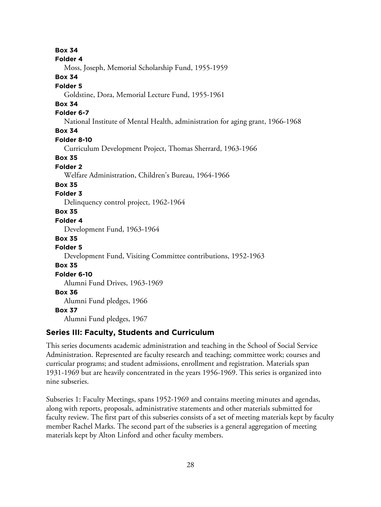**Box 34 Folder 4** Moss, Joseph, Memorial Scholarship Fund, 1955-1959 **Box 34 Folder 5** Goldstine, Dora, Memorial Lecture Fund, 1955-1961 **Box 34 Folder 6-7** National Institute of Mental Health, administration for aging grant, 1966-1968 **Box 34 Folder 8-10** Curriculum Development Project, Thomas Sherrard, 1963-1966 **Box 35 Folder 2** Welfare Administration, Children's Bureau, 1964-1966 **Box 35 Folder 3** Delinquency control project, 1962-1964 **Box 35 Folder 4** Development Fund, 1963-1964 **Box 35 Folder 5** Development Fund, Visiting Committee contributions, 1952-1963 **Box 35 Folder 6-10** Alumni Fund Drives, 1963-1969 **Box 36** Alumni Fund pledges, 1966 **Box 37** Alumni Fund pledges, 1967

# **Series III: Faculty, Students and Curriculum**

This series documents academic administration and teaching in the School of Social Service Administration. Represented are faculty research and teaching; committee work; courses and curricular programs; and student admissions, enrollment and registration. Materials span 1931-1969 but are heavily concentrated in the years 1956-1969. This series is organized into nine subseries.

Subseries 1: Faculty Meetings, spans 1952-1969 and contains meeting minutes and agendas, along with reports, proposals, administrative statements and other materials submitted for faculty review. The first part of this subseries consists of a set of meeting materials kept by faculty member Rachel Marks. The second part of the subseries is a general aggregation of meeting materials kept by Alton Linford and other faculty members.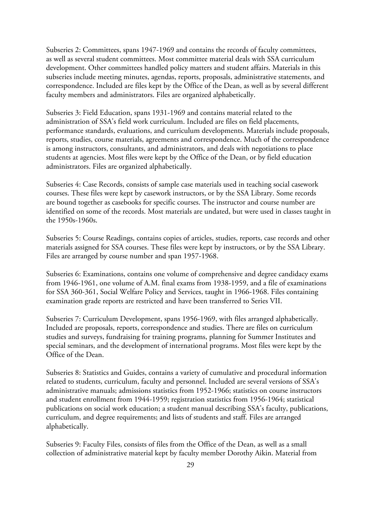Subseries 2: Committees, spans 1947-1969 and contains the records of faculty committees, as well as several student committees. Most committee material deals with SSA curriculum development. Other committees handled policy matters and student affairs. Materials in this subseries include meeting minutes, agendas, reports, proposals, administrative statements, and correspondence. Included are files kept by the Office of the Dean, as well as by several different faculty members and administrators. Files are organized alphabetically.

Subseries 3: Field Education, spans 1931-1969 and contains material related to the administration of SSA's field work curriculum. Included are files on field placements, performance standards, evaluations, and curriculum developments. Materials include proposals, reports, studies, course materials, agreements and correspondence. Much of the correspondence is among instructors, consultants, and administrators, and deals with negotiations to place students at agencies. Most files were kept by the Office of the Dean, or by field education administrators. Files are organized alphabetically.

Subseries 4: Case Records, consists of sample case materials used in teaching social casework courses. These files were kept by casework instructors, or by the SSA Library. Some records are bound together as casebooks for specific courses. The instructor and course number are identified on some of the records. Most materials are undated, but were used in classes taught in the 1950s-1960s.

Subseries 5: Course Readings, contains copies of articles, studies, reports, case records and other materials assigned for SSA courses. These files were kept by instructors, or by the SSA Library. Files are arranged by course number and span 1957-1968.

Subseries 6: Examinations, contains one volume of comprehensive and degree candidacy exams from 1946-1961, one volume of A.M. final exams from 1938-1959, and a file of examinations for SSA 360-361, Social Welfare Policy and Services, taught in 1966-1968. Files containing examination grade reports are restricted and have been transferred to Series VII.

Subseries 7: Curriculum Development, spans 1956-1969, with files arranged alphabetically. Included are proposals, reports, correspondence and studies. There are files on curriculum studies and surveys, fundraising for training programs, planning for Summer Institutes and special seminars, and the development of international programs. Most files were kept by the Office of the Dean.

Subseries 8: Statistics and Guides, contains a variety of cumulative and procedural information related to students, curriculum, faculty and personnel. Included are several versions of SSA's administrative manuals; admissions statistics from 1952-1966; statistics on course instructors and student enrollment from 1944-1959; registration statistics from 1956-1964; statistical publications on social work education; a student manual describing SSA's faculty, publications, curriculum, and degree requirements; and lists of students and staff. Files are arranged alphabetically.

Subseries 9: Faculty Files, consists of files from the Office of the Dean, as well as a small collection of administrative material kept by faculty member Dorothy Aikin. Material from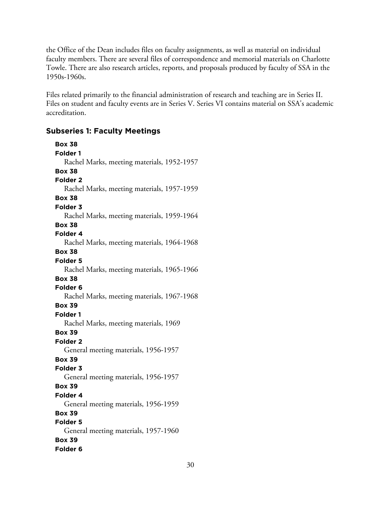the Office of the Dean includes files on faculty assignments, as well as material on individual faculty members. There are several files of correspondence and memorial materials on Charlotte Towle. There are also research articles, reports, and proposals produced by faculty of SSA in the 1950s-1960s.

Files related primarily to the financial administration of research and teaching are in Series II. Files on student and faculty events are in Series V. Series VI contains material on SSA's academic accreditation.

# **Subseries 1: Faculty Meetings**

**Box 38 Folder 1** Rachel Marks, meeting materials, 1952-1957 **Box 38 Folder 2** Rachel Marks, meeting materials, 1957-1959 **Box 38 Folder 3** Rachel Marks, meeting materials, 1959-1964 **Box 38 Folder 4** Rachel Marks, meeting materials, 1964-1968 **Box 38 Folder 5** Rachel Marks, meeting materials, 1965-1966 **Box 38 Folder 6** Rachel Marks, meeting materials, 1967-1968 **Box 39 Folder 1** Rachel Marks, meeting materials, 1969 **Box 39 Folder 2** General meeting materials, 1956-1957 **Box 39 Folder 3** General meeting materials, 1956-1957 **Box 39 Folder 4** General meeting materials, 1956-1959 **Box 39 Folder 5** General meeting materials, 1957-1960 **Box 39 Folder 6**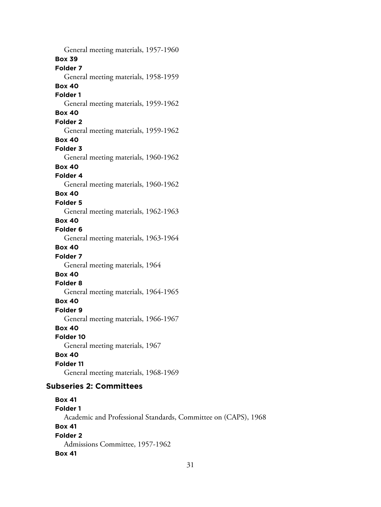General meeting materials, 1957-1960 **Box 39 Folder 7** General meeting materials, 1958-1959 **Box 40 Folder 1** General meeting materials, 1959-1962 **Box 40 Folder 2** General meeting materials, 1959-1962 **Box 40 Folder 3** General meeting materials, 1960-1962 **Box 40 Folder 4** General meeting materials, 1960-1962 **Box 40 Folder 5** General meeting materials, 1962-1963 **Box 40 Folder 6** General meeting materials, 1963-1964 **Box 40 Folder 7** General meeting materials, 1964 **Box 40 Folder 8** General meeting materials, 1964-1965 **Box 40 Folder 9** General meeting materials, 1966-1967 **Box 40 Folder 10** General meeting materials, 1967 **Box 40 Folder 11** General meeting materials, 1968-1969 **Subseries 2: Committees Box 41 Folder 1** Academic and Professional Standards, Committee on (CAPS), 1968

**Box 41 Folder 2**

Admissions Committee, 1957-1962

# **Box 41**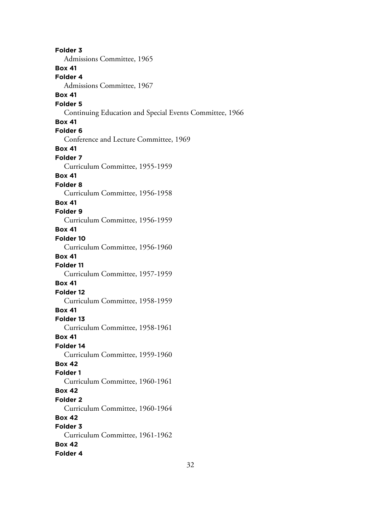**Folder 3** Admissions Committee, 1965 **Box 41 Folder 4** Admissions Committee, 1967 **Box 41 Folder 5** Continuing Education and Special Events Committee, 1966 **Box 41 Folder 6** Conference and Lecture Committee, 1969 **Box 41 Folder 7** Curriculum Committee, 1955-1959 **Box 41 Folder 8** Curriculum Committee, 1956-1958 **Box 41 Folder 9** Curriculum Committee, 1956-1959 **Box 41 Folder 10** Curriculum Committee, 1956-1960 **Box 41 Folder 11** Curriculum Committee, 1957-1959 **Box 41 Folder 12** Curriculum Committee, 1958-1959 **Box 41 Folder 13** Curriculum Committee, 1958-1961 **Box 41 Folder 14** Curriculum Committee, 1959-1960 **Box 42 Folder 1** Curriculum Committee, 1960-1961 **Box 42 Folder 2** Curriculum Committee, 1960-1964 **Box 42 Folder 3** Curriculum Committee, 1961-1962 **Box 42 Folder 4**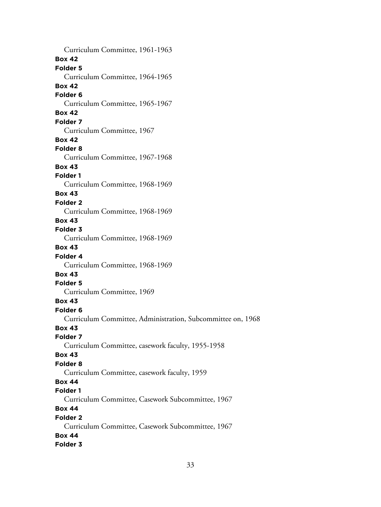Curriculum Committee, 1961-1963 **Box 42 Folder 5** Curriculum Committee, 1964-1965 **Box 42 Folder 6** Curriculum Committee, 1965-1967 **Box 42 Folder 7** Curriculum Committee, 1967 **Box 42 Folder 8** Curriculum Committee, 1967-1968 **Box 43 Folder 1** Curriculum Committee, 1968-1969 **Box 43 Folder 2** Curriculum Committee, 1968-1969 **Box 43 Folder 3** Curriculum Committee, 1968-1969 **Box 43 Folder 4** Curriculum Committee, 1968-1969 **Box 43 Folder 5** Curriculum Committee, 1969 **Box 43 Folder 6** Curriculum Committee, Administration, Subcommittee on, 1968 **Box 43 Folder 7** Curriculum Committee, casework faculty, 1955-1958 **Box 43 Folder 8** Curriculum Committee, casework faculty, 1959 **Box 44 Folder 1** Curriculum Committee, Casework Subcommittee, 1967 **Box 44 Folder 2** Curriculum Committee, Casework Subcommittee, 1967 **Box 44 Folder 3**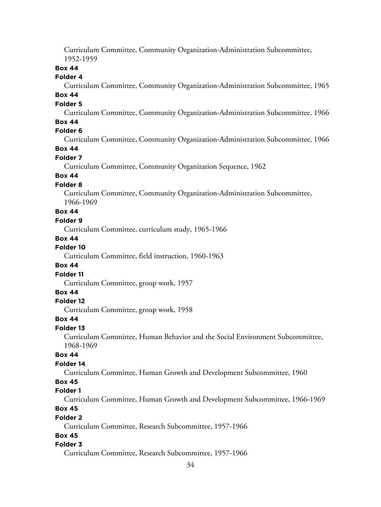Curriculum Committee, Community Organization-Administration Subcommittee, 1952-1959

## **Box 44**

#### **Folder 4**

Curriculum Committee, Community Organization-Administration Subcommittee, 1965

# **Box 44**

# **Folder 5**

Curriculum Committee, Community Organization-Administration Subcommittee, 1966

## **Box 44**

# **Folder 6**

Curriculum Committee, Community Organization-Administration Subcommittee, 1966

## **Box 44**

#### **Folder 7**

Curriculum Committee, Community Organization Sequence, 1962

## **Box 44**

## **Folder 8**

Curriculum Committee, Community Organization-Administration Subcommittee, 1966-1969

## **Box 44**

#### **Folder 9**

Curriculum Committee, curriculum study, 1965-1966

#### **Box 44**

## **Folder 10**

Curriculum Committee, field instruction, 1960-1963

#### **Box 44**

#### **Folder 11**

Curriculum Committee, group work, 1957

## **Box 44**

## **Folder 12**

Curriculum Committee, group work, 1958

#### **Box 44**

#### **Folder 13**

Curriculum Committee, Human Behavior and the Social Environment Subcommittee, 1968-1969

## **Box 44**

## **Folder 14**

Curriculum Committee, Human Growth and Development Subcommittee, 1960

#### **Box 45**

#### **Folder 1**

Curriculum Committee, Human Growth and Development Subcommittee, 1966-1969

# **Box 45**

#### **Folder 2**

Curriculum Committee, Research Subcommittee, 1957-1966

## **Box 45**

## **Folder 3**

Curriculum Committee, Research Subcommittee, 1957-1966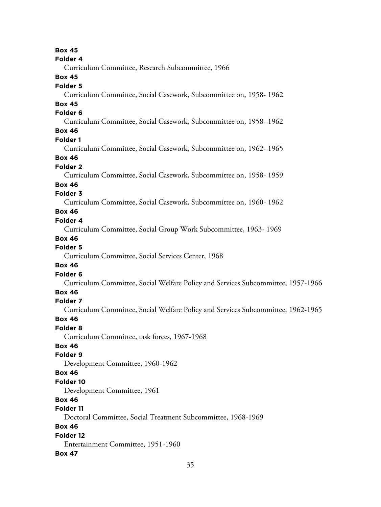35 **Box 45 Folder 4** Curriculum Committee, Research Subcommittee, 1966 **Box 45 Folder 5** Curriculum Committee, Social Casework, Subcommittee on, 1958- 1962 **Box 45 Folder 6** Curriculum Committee, Social Casework, Subcommittee on, 1958- 1962 **Box 46 Folder 1** Curriculum Committee, Social Casework, Subcommittee on, 1962- 1965 **Box 46 Folder 2** Curriculum Committee, Social Casework, Subcommittee on, 1958- 1959 **Box 46 Folder 3** Curriculum Committee, Social Casework, Subcommittee on, 1960- 1962 **Box 46 Folder 4** Curriculum Committee, Social Group Work Subcommittee, 1963- 1969 **Box 46 Folder 5** Curriculum Committee, Social Services Center, 1968 **Box 46 Folder 6** Curriculum Committee, Social Welfare Policy and Services Subcommittee, 1957-1966 **Box 46 Folder 7** Curriculum Committee, Social Welfare Policy and Services Subcommittee, 1962-1965 **Box 46 Folder 8** Curriculum Committee, task forces, 1967-1968 **Box 46 Folder 9** Development Committee, 1960-1962 **Box 46 Folder 10** Development Committee, 1961 **Box 46 Folder 11** Doctoral Committee, Social Treatment Subcommittee, 1968-1969 **Box 46 Folder 12** Entertainment Committee, 1951-1960 **Box 47**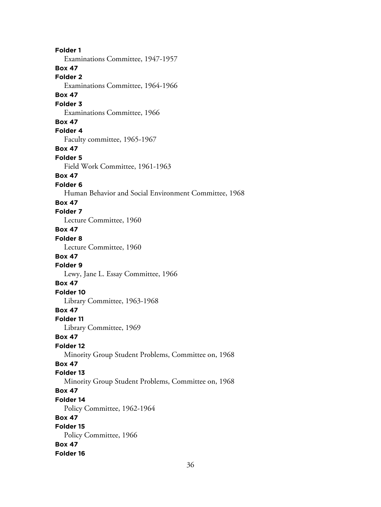**Folder 1** Examinations Committee, 1947-1957 **Box 47 Folder 2** Examinations Committee, 1964-1966 **Box 47 Folder 3** Examinations Committee, 1966 **Box 47 Folder 4** Faculty committee, 1965-1967 **Box 47 Folder 5** Field Work Committee, 1961-1963 **Box 47 Folder 6** Human Behavior and Social Environment Committee, 1968 **Box 47 Folder 7** Lecture Committee, 1960 **Box 47 Folder 8** Lecture Committee, 1960 **Box 47 Folder 9** Lewy, Jane L. Essay Committee, 1966 **Box 47 Folder 10** Library Committee, 1963-1968 **Box 47 Folder 11** Library Committee, 1969 **Box 47 Folder 12** Minority Group Student Problems, Committee on, 1968 **Box 47 Folder 13** Minority Group Student Problems, Committee on, 1968 **Box 47 Folder 14** Policy Committee, 1962-1964 **Box 47 Folder 15** Policy Committee, 1966 **Box 47 Folder 16**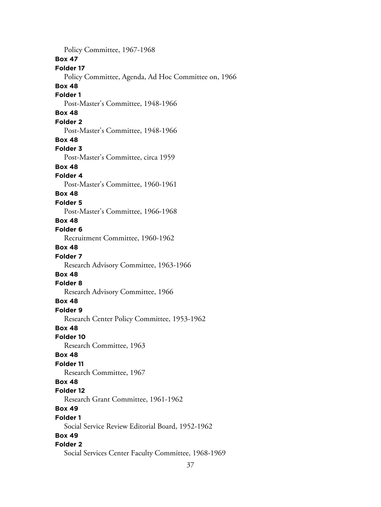Policy Committee, 1967-1968 **Box 47 Folder 17** Policy Committee, Agenda, Ad Hoc Committee on, 1966 **Box 48 Folder 1** Post-Master's Committee, 1948-1966 **Box 48 Folder 2** Post-Master's Committee, 1948-1966 **Box 48 Folder 3** Post-Master's Committee, circa 1959 **Box 48 Folder 4** Post-Master's Committee, 1960-1961 **Box 48 Folder 5** Post-Master's Committee, 1966-1968 **Box 48 Folder 6** Recruitment Committee, 1960-1962 **Box 48 Folder 7** Research Advisory Committee, 1963-1966 **Box 48 Folder 8** Research Advisory Committee, 1966 **Box 48 Folder 9** Research Center Policy Committee, 1953-1962 **Box 48 Folder 10** Research Committee, 1963 **Box 48 Folder 11** Research Committee, 1967 **Box 48 Folder 12** Research Grant Committee, 1961-1962 **Box 49 Folder 1** Social Service Review Editorial Board, 1952-1962 **Box 49 Folder 2** Social Services Center Faculty Committee, 1968-1969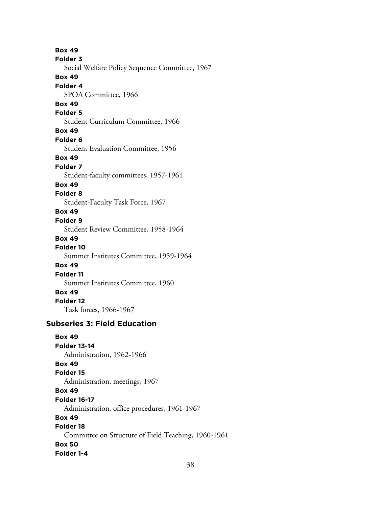**Box 49 Folder 3** Social Welfare Policy Sequence Committee, 1967 **Box 49 Folder 4** SPOA Committee, 1966 **Box 49 Folder 5** Student Curriculum Committee, 1966 **Box 49 Folder 6** Student Evaluation Committee, 1956 **Box 49 Folder 7** Student-faculty committees, 1957-1961 **Box 49 Folder 8** Student-Faculty Task Force, 1967 **Box 49 Folder 9** Student Review Committee, 1958-1964 **Box 49 Folder 10** Summer Institutes Committee, 1959-1964 **Box 49 Folder 11** Summer Institutes Committee, 1960 **Box 49 Folder 12** Task forces, 1966-1967 **Subseries 3: Field Education**

**Box 49 Folder 13-14** Administration, 1962-1966 **Box 49 Folder 15** Administration, meetings, 1967 **Box 49 Folder 16-17** Administration, office procedures, 1961-1967 **Box 49 Folder 18** Committee on Structure of Field Teaching, 1960-1961 **Box 50 Folder 1-4**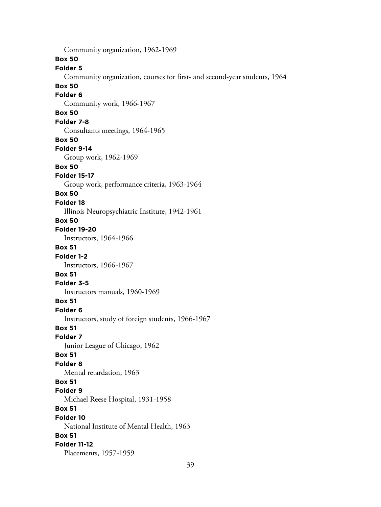Community organization, 1962-1969 **Box 50 Folder 5** Community organization, courses for first- and second-year students, 1964 **Box 50 Folder 6** Community work, 1966-1967 **Box 50 Folder 7-8** Consultants meetings, 1964-1965 **Box 50 Folder 9-14** Group work, 1962-1969 **Box 50 Folder 15-17** Group work, performance criteria, 1963-1964 **Box 50 Folder 18** Illinois Neuropsychiatric Institute, 1942-1961 **Box 50 Folder 19-20** Instructors, 1964-1966 **Box 51 Folder 1-2** Instructors, 1966-1967 **Box 51 Folder 3-5** Instructors manuals, 1960-1969 **Box 51 Folder 6** Instructors, study of foreign students, 1966-1967 **Box 51 Folder 7** Junior League of Chicago, 1962 **Box 51 Folder 8** Mental retardation, 1963 **Box 51 Folder 9** Michael Reese Hospital, 1931-1958 **Box 51 Folder 10** National Institute of Mental Health, 1963 **Box 51 Folder 11-12** Placements, 1957-1959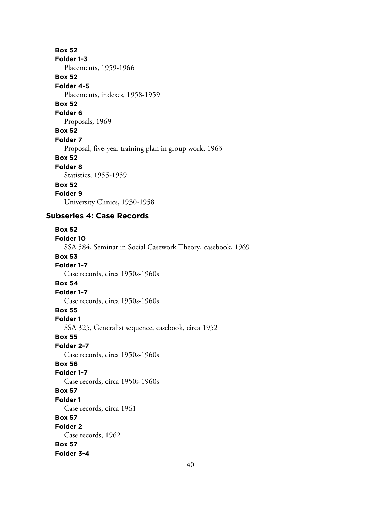#### **Box 52**

**Folder 1-3**

Placements, 1959-1966

#### **Box 52**

**Folder 4-5**

#### Placements, indexes, 1958-1959

**Box 52**

# **Folder 6**

Proposals, 1969

# **Box 52**

**Folder 7**

## Proposal, five-year training plan in group work, 1963

**Box 52**

## **Folder 8**

Statistics, 1955-1959

## **Box 52**

**Folder 9**

University Clinics, 1930-1958

# **Subseries 4: Case Records**

**Box 52 Folder 10** SSA 584, Seminar in Social Casework Theory, casebook, 1969 **Box 53 Folder 1-7** Case records, circa 1950s-1960s **Box 54 Folder 1-7** Case records, circa 1950s-1960s **Box 55 Folder 1** SSA 325, Generalist sequence, casebook, circa 1952 **Box 55 Folder 2-7** Case records, circa 1950s-1960s **Box 56 Folder 1-7** Case records, circa 1950s-1960s **Box 57 Folder 1** Case records, circa 1961 **Box 57 Folder 2** Case records, 1962 **Box 57 Folder 3-4**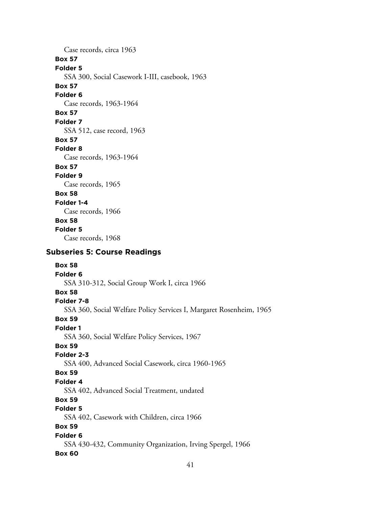Case records, circa 1963 **Box 57 Folder 5** SSA 300, Social Casework I-III, casebook, 1963 **Box 57 Folder 6** Case records, 1963-1964 **Box 57 Folder 7** SSA 512, case record, 1963 **Box 57 Folder 8** Case records, 1963-1964 **Box 57 Folder 9** Case records, 1965 **Box 58 Folder 1-4** Case records, 1966 **Box 58 Folder 5** Case records, 1968

# **Subseries 5: Course Readings**

**Box 58 Folder 6** SSA 310-312, Social Group Work I, circa 1966 **Box 58 Folder 7-8** SSA 360, Social Welfare Policy Services I, Margaret Rosenheim, 1965 **Box 59 Folder 1** SSA 360, Social Welfare Policy Services, 1967 **Box 59 Folder 2-3** SSA 400, Advanced Social Casework, circa 1960-1965 **Box 59 Folder 4** SSA 402, Advanced Social Treatment, undated **Box 59 Folder 5** SSA 402, Casework with Children, circa 1966 **Box 59 Folder 6** SSA 430-432, Community Organization, Irving Spergel, 1966 **Box 60**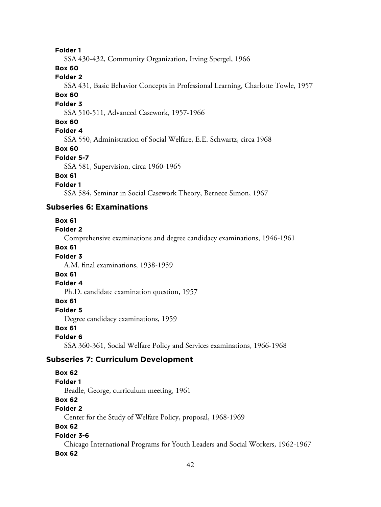#### **Folder 1**

SSA 430-432, Community Organization, Irving Spergel, 1966

## **Box 60**

# **Folder 2**

SSA 431, Basic Behavior Concepts in Professional Learning, Charlotte Towle, 1957

#### **Box 60**

#### **Folder 3**

SSA 510-511, Advanced Casework, 1957-1966

#### **Box 60**

## **Folder 4**

SSA 550, Administration of Social Welfare, E.E. Schwartz, circa 1968

#### **Box 60**

#### **Folder 5-7**

SSA 581, Supervision, circa 1960-1965

## **Box 61**

## **Folder 1**

SSA 584, Seminar in Social Casework Theory, Bernece Simon, 1967

## **Subseries 6: Examinations**

#### **Box 61**

#### **Folder 2**

Comprehensive examinations and degree candidacy examinations, 1946-1961

## **Box 61**

## **Folder 3**

A.M. final examinations, 1938-1959

## **Box 61**

#### **Folder 4**

Ph.D. candidate examination question, 1957

#### **Box 61**

## **Folder 5**

Degree candidacy examinations, 1959

#### **Box 61**

#### **Folder 6**

SSA 360-361, Social Welfare Policy and Services examinations, 1966-1968

## **Subseries 7: Curriculum Development**

## **Box 62**

## **Folder 1**

Beadle, George, curriculum meeting, 1961

# **Box 62**

# **Folder 2**

Center for the Study of Welfare Policy, proposal, 1968-1969

# **Box 62**

#### **Folder 3-6**

Chicago International Programs for Youth Leaders and Social Workers, 1962-1967 **Box 62**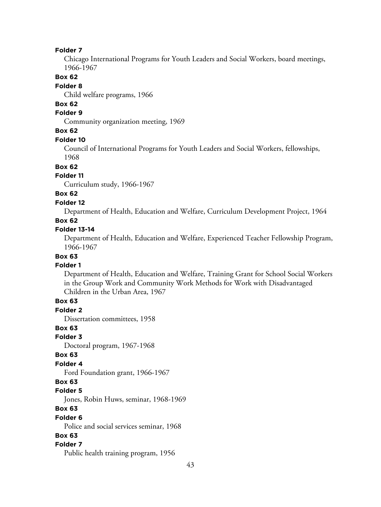#### **Folder 7**

Chicago International Programs for Youth Leaders and Social Workers, board meetings, 1966-1967

## **Box 62**

#### **Folder 8**

Child welfare programs, 1966

# **Box 62**

# **Folder 9**

Community organization meeting, 1969

## **Box 62**

#### **Folder 10**

Council of International Programs for Youth Leaders and Social Workers, fellowships, 1968

#### **Box 62**

#### **Folder 11**

Curriculum study, 1966-1967

#### **Box 62**

#### **Folder 12**

Department of Health, Education and Welfare, Curriculum Development Project, 1964

#### **Box 62**

#### **Folder 13-14**

Department of Health, Education and Welfare, Experienced Teacher Fellowship Program, 1966-1967

# **Box 63**

#### **Folder 1**

Department of Health, Education and Welfare, Training Grant for School Social Workers in the Group Work and Community Work Methods for Work with Disadvantaged Children in the Urban Area, 1967

#### **Box 63**

**Folder 2**

Dissertation committees, 1958

#### **Box 63**

#### **Folder 3**

Doctoral program, 1967-1968

#### **Box 63**

#### **Folder 4**

Ford Foundation grant, 1966-1967

#### **Box 63**

#### **Folder 5**

Jones, Robin Huws, seminar, 1968-1969

## **Box 63**

#### **Folder 6**

Police and social services seminar, 1968

## **Box 63**

## **Folder 7**

Public health training program, 1956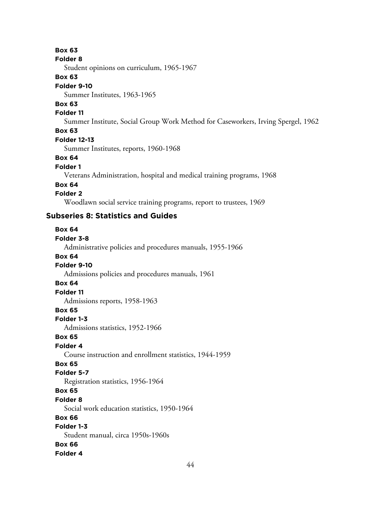#### **Box 63**

#### **Folder 8**

Student opinions on curriculum, 1965-1967

#### **Box 63**

#### **Folder 9-10**

Summer Institutes, 1963-1965

# **Box 63**

#### **Folder 11**

Summer Institute, Social Group Work Method for Caseworkers, Irving Spergel, 1962

## **Box 63**

#### **Folder 12-13**

Summer Institutes, reports, 1960-1968

#### **Box 64**

#### **Folder 1**

Veterans Administration, hospital and medical training programs, 1968

#### **Box 64**

## **Folder 2**

Woodlawn social service training programs, report to trustees, 1969

# **Subseries 8: Statistics and Guides**

# **Box 64 Folder 3-8** Administrative policies and procedures manuals, 1955-1966 **Box 64 Folder 9-10** Admissions policies and procedures manuals, 1961 **Box 64 Folder 11** Admissions reports, 1958-1963 **Box 65 Folder 1-3** Admissions statistics, 1952-1966 **Box 65 Folder 4** Course instruction and enrollment statistics, 1944-1959 **Box 65 Folder 5-7** Registration statistics, 1956-1964 **Box 65 Folder 8** Social work education statistics, 1950-1964 **Box 66 Folder 1-3** Student manual, circa 1950s-1960s **Box 66 Folder 4**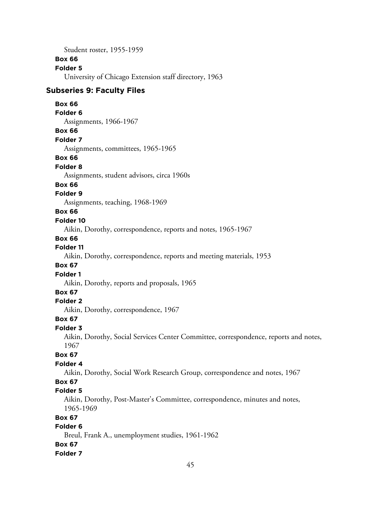Student roster, 1955-1959

#### **Box 66**

#### **Folder 5**

University of Chicago Extension staff directory, 1963

#### **Subseries 9: Faculty Files**

#### **Box 66**

#### **Folder 6**

Assignments, 1966-1967

#### **Box 66**

**Folder 7**

Assignments, committees, 1965-1965

#### **Box 66**

#### **Folder 8**

Assignments, student advisors, circa 1960s

#### **Box 66**

## **Folder 9**

Assignments, teaching, 1968-1969

## **Box 66**

#### **Folder 10**

Aikin, Dorothy, correspondence, reports and notes, 1965-1967

#### **Box 66**

## **Folder 11**

Aikin, Dorothy, correspondence, reports and meeting materials, 1953

#### **Box 67**

#### **Folder 1**

Aikin, Dorothy, reports and proposals, 1965

# **Box 67**

## **Folder 2**

Aikin, Dorothy, correspondence, 1967

#### **Box 67**

#### **Folder 3**

Aikin, Dorothy, Social Services Center Committee, correspondence, reports and notes, 1967

## **Box 67**

## **Folder 4**

Aikin, Dorothy, Social Work Research Group, correspondence and notes, 1967

## **Box 67**

#### **Folder 5**

Aikin, Dorothy, Post-Master's Committee, correspondence, minutes and notes, 1965-1969

## **Box 67**

# **Folder 6**

Breul, Frank A., unemployment studies, 1961-1962

# **Box 67**

#### **Folder 7**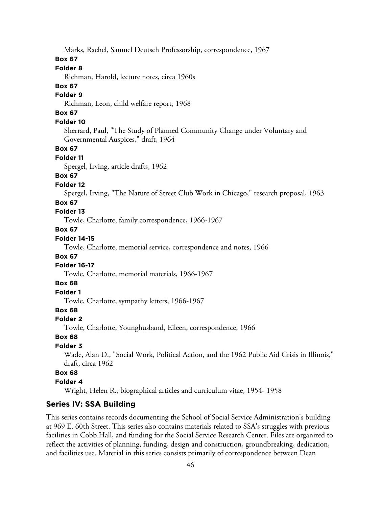Marks, Rachel, Samuel Deutsch Professorship, correspondence, 1967

## **Box 67**

## **Folder 8**

Richman, Harold, lecture notes, circa 1960s

#### **Box 67**

## **Folder 9**

Richman, Leon, child welfare report, 1968

# **Box 67**

## **Folder 10**

Sherrard, Paul, "The Study of Planned Community Change under Voluntary and Governmental Auspices," draft, 1964

#### **Box 67**

#### **Folder 11**

Spergel, Irving, article drafts, 1962

# **Box 67**

## **Folder 12**

Spergel, Irving, "The Nature of Street Club Work in Chicago," research proposal, 1963

#### **Box 67**

## **Folder 13**

Towle, Charlotte, family correspondence, 1966-1967

# **Box 67**

## **Folder 14-15**

Towle, Charlotte, memorial service, correspondence and notes, 1966

#### **Box 67**

#### **Folder 16-17**

Towle, Charlotte, memorial materials, 1966-1967

## **Box 68**

## **Folder 1**

Towle, Charlotte, sympathy letters, 1966-1967

#### **Box 68**

#### **Folder 2**

Towle, Charlotte, Younghusband, Eileen, correspondence, 1966

## **Box 68**

#### **Folder 3**

Wade, Alan D., "Social Work, Political Action, and the 1962 Public Aid Crisis in Illinois," draft, circa 1962

## **Box 68**

#### **Folder 4**

Wright, Helen R., biographical articles and curriculum vitae, 1954- 1958

## **Series IV: SSA Building**

This series contains records documenting the School of Social Service Administration's building at 969 E. 60th Street. This series also contains materials related to SSA's struggles with previous facilities in Cobb Hall, and funding for the Social Service Research Center. Files are organized to reflect the activities of planning, funding, design and construction, groundbreaking, dedication, and facilities use. Material in this series consists primarily of correspondence between Dean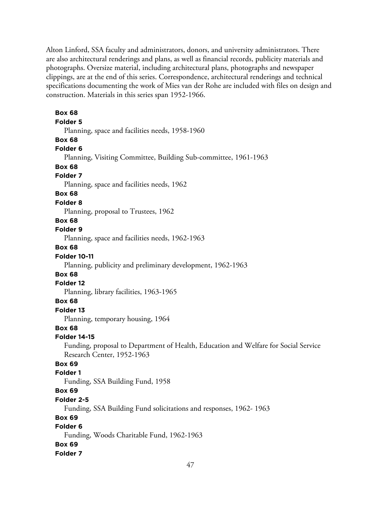Alton Linford, SSA faculty and administrators, donors, and university administrators. There are also architectural renderings and plans, as well as financial records, publicity materials and photographs. Oversize material, including architectural plans, photographs and newspaper clippings, are at the end of this series. Correspondence, architectural renderings and technical specifications documenting the work of Mies van der Rohe are included with files on design and construction. Materials in this series span 1952-1966.

**Box 68 Folder 5** Planning, space and facilities needs, 1958-1960 **Box 68 Folder 6** Planning, Visiting Committee, Building Sub-committee, 1961-1963 **Box 68 Folder 7** Planning, space and facilities needs, 1962 **Box 68 Folder 8** Planning, proposal to Trustees, 1962 **Box 68 Folder 9** Planning, space and facilities needs, 1962-1963 **Box 68 Folder 10-11** Planning, publicity and preliminary development, 1962-1963 **Box 68 Folder 12** Planning, library facilities, 1963-1965 **Box 68 Folder 13** Planning, temporary housing, 1964 **Box 68 Folder 14-15** Funding, proposal to Department of Health, Education and Welfare for Social Service Research Center, 1952-1963 **Box 69 Folder 1** Funding, SSA Building Fund, 1958 **Box 69 Folder 2-5** Funding, SSA Building Fund solicitations and responses, 1962- 1963 **Box 69 Folder 6** Funding, Woods Charitable Fund, 1962-1963 **Box 69 Folder 7**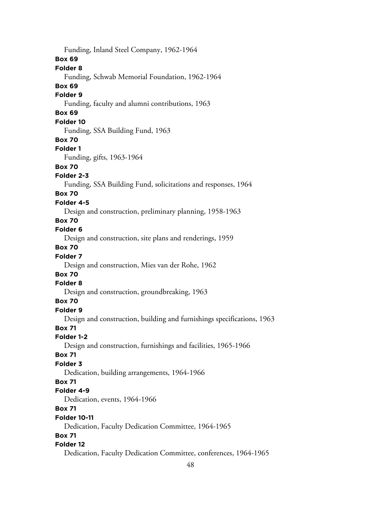Funding, Inland Steel Company, 1962-1964 **Box 69 Folder 8** Funding, Schwab Memorial Foundation, 1962-1964 **Box 69 Folder 9** Funding, faculty and alumni contributions, 1963 **Box 69 Folder 10** Funding, SSA Building Fund, 1963 **Box 70 Folder 1** Funding, gifts, 1963-1964 **Box 70 Folder 2-3** Funding, SSA Building Fund, solicitations and responses, 1964 **Box 70 Folder 4-5** Design and construction, preliminary planning, 1958-1963 **Box 70 Folder 6** Design and construction, site plans and renderings, 1959 **Box 70 Folder 7** Design and construction, Mies van der Rohe, 1962 **Box 70 Folder 8** Design and construction, groundbreaking, 1963 **Box 70 Folder 9** Design and construction, building and furnishings specifications, 1963 **Box 71 Folder 1-2** Design and construction, furnishings and facilities, 1965-1966 **Box 71 Folder 3** Dedication, building arrangements, 1964-1966 **Box 71 Folder 4-9** Dedication, events, 1964-1966 **Box 71 Folder 10-11** Dedication, Faculty Dedication Committee, 1964-1965 **Box 71 Folder 12** Dedication, Faculty Dedication Committee, conferences, 1964-1965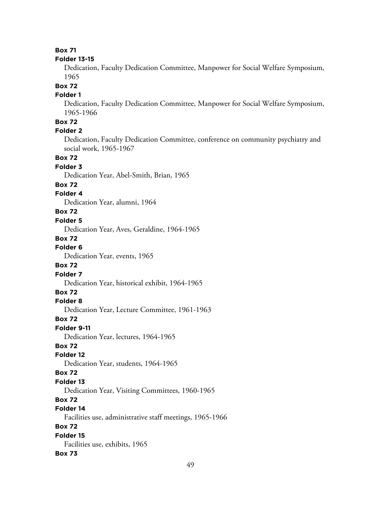## **Box 71**

#### **Folder 13-15**

Dedication, Faculty Dedication Committee, Manpower for Social Welfare Symposium, 1965

# **Box 72**

# **Folder 1**

Dedication, Faculty Dedication Committee, Manpower for Social Welfare Symposium, 1965-1966

# **Box 72**

# **Folder 2**

Dedication, Faculty Dedication Committee, conference on community psychiatry and social work, 1965-1967

#### **Box 72**

#### **Folder 3**

Dedication Year, Abel-Smith, Brian, 1965

#### **Box 72**

#### **Folder 4**

Dedication Year, alumni, 1964

## **Box 72**

# **Folder 5**

Dedication Year, Aves, Geraldine, 1964-1965

#### **Box 72**

**Folder 6**

Dedication Year, events, 1965

#### **Box 72**

#### **Folder 7**

Dedication Year, historical exhibit, 1964-1965

# **Box 72**

## **Folder 8**

Dedication Year, Lecture Committee, 1961-1963

#### **Box 72**

**Folder 9-11**

Dedication Year, lectures, 1964-1965

## **Box 72**

## **Folder 12**

Dedication Year, students, 1964-1965

#### **Box 72**

# **Folder 13**

Dedication Year, Visiting Committees, 1960-1965

## **Box 72**

## **Folder 14**

Facilities use, administrative staff meetings, 1965-1966

## **Box 72**

#### **Folder 15** Facilities use, exhibits, 1965

#### **Box 73**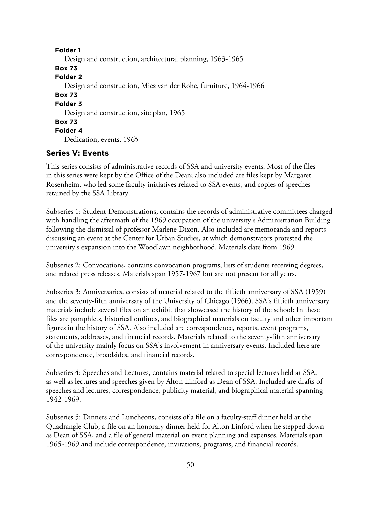**Folder 1** Design and construction, architectural planning, 1963-1965 **Box 73 Folder 2** Design and construction, Mies van der Rohe, furniture, 1964-1966 **Box 73 Folder 3** Design and construction, site plan, 1965 **Box 73 Folder 4** Dedication, events, 1965

# **Series V: Events**

This series consists of administrative records of SSA and university events. Most of the files in this series were kept by the Office of the Dean; also included are files kept by Margaret Rosenheim, who led some faculty initiatives related to SSA events, and copies of speeches retained by the SSA Library.

Subseries 1: Student Demonstrations, contains the records of administrative committees charged with handling the aftermath of the 1969 occupation of the university's Administration Building following the dismissal of professor Marlene Dixon. Also included are memoranda and reports discussing an event at the Center for Urban Studies, at which demonstrators protested the university's expansion into the Woodlawn neighborhood. Materials date from 1969.

Subseries 2: Convocations, contains convocation programs, lists of students receiving degrees, and related press releases. Materials span 1957-1967 but are not present for all years.

Subseries 3: Anniversaries, consists of material related to the fiftieth anniversary of SSA (1959) and the seventy-fifth anniversary of the University of Chicago (1966). SSA's fiftieth anniversary materials include several files on an exhibit that showcased the history of the school: In these files are pamphlets, historical outlines, and biographical materials on faculty and other important figures in the history of SSA. Also included are correspondence, reports, event programs, statements, addresses, and financial records. Materials related to the seventy-fifth anniversary of the university mainly focus on SSA's involvement in anniversary events. Included here are correspondence, broadsides, and financial records.

Subseries 4: Speeches and Lectures, contains material related to special lectures held at SSA, as well as lectures and speeches given by Alton Linford as Dean of SSA. Included are drafts of speeches and lectures, correspondence, publicity material, and biographical material spanning 1942-1969.

Subseries 5: Dinners and Luncheons, consists of a file on a faculty-staff dinner held at the Quadrangle Club, a file on an honorary dinner held for Alton Linford when he stepped down as Dean of SSA, and a file of general material on event planning and expenses. Materials span 1965-1969 and include correspondence, invitations, programs, and financial records.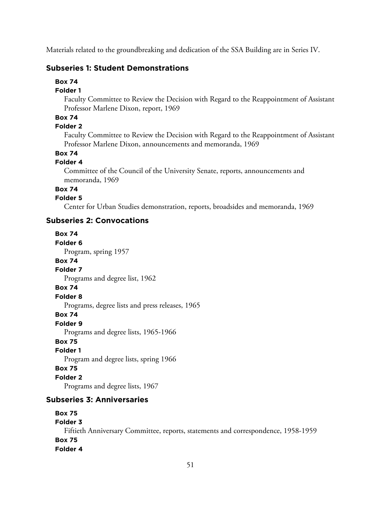Materials related to the groundbreaking and dedication of the SSA Building are in Series IV.

# **Subseries 1: Student Demonstrations**

**Box 74**

#### **Folder 1**

Faculty Committee to Review the Decision with Regard to the Reappointment of Assistant Professor Marlene Dixon, report, 1969

## **Box 74**

## **Folder 2**

Faculty Committee to Review the Decision with Regard to the Reappointment of Assistant Professor Marlene Dixon, announcements and memoranda, 1969

# **Box 74**

## **Folder 4**

Committee of the Council of the University Senate, reports, announcements and memoranda, 1969

# **Box 74**

## **Folder 5**

Center for Urban Studies demonstration, reports, broadsides and memoranda, 1969

## **Subseries 2: Convocations**

**Box 74 Folder 6** Program, spring 1957 **Box 74 Folder 7** Programs and degree list, 1962 **Box 74 Folder 8** Programs, degree lists and press releases, 1965 **Box 74 Folder 9** Programs and degree lists, 1965-1966 **Box 75 Folder 1** Program and degree lists, spring 1966 **Box 75 Folder 2** Programs and degree lists, 1967 **Subseries 3: Anniversaries**

# **Box 75 Folder 3** Fiftieth Anniversary Committee, reports, statements and correspondence, 1958-1959 **Box 75 Folder 4**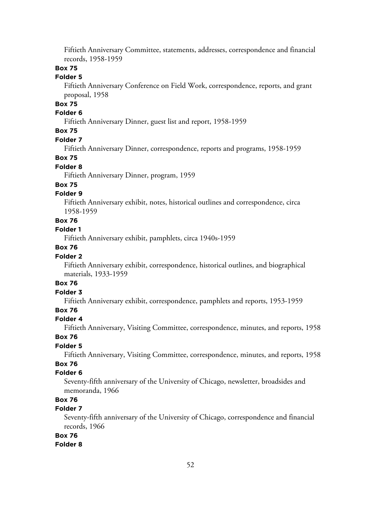Fiftieth Anniversary Committee, statements, addresses, correspondence and financial records, 1958-1959

## **Box 75**

## **Folder 5**

Fiftieth Anniversary Conference on Field Work, correspondence, reports, and grant proposal, 1958

# **Box 75**

## **Folder 6**

Fiftieth Anniversary Dinner, guest list and report, 1958-1959

## **Box 75**

#### **Folder 7**

Fiftieth Anniversary Dinner, correspondence, reports and programs, 1958-1959

#### **Box 75**

## **Folder 8**

Fiftieth Anniversary Dinner, program, 1959

#### **Box 75**

#### **Folder 9**

Fiftieth Anniversary exhibit, notes, historical outlines and correspondence, circa 1958-1959

## **Box 76**

## **Folder 1**

Fiftieth Anniversary exhibit, pamphlets, circa 1940s-1959

## **Box 76**

#### **Folder 2**

Fiftieth Anniversary exhibit, correspondence, historical outlines, and biographical materials, 1933-1959

# **Box 76**

# **Folder 3**

Fiftieth Anniversary exhibit, correspondence, pamphlets and reports, 1953-1959

# **Box 76**

## **Folder 4**

Fiftieth Anniversary, Visiting Committee, correspondence, minutes, and reports, 1958

#### **Box 76**

# **Folder 5**

Fiftieth Anniversary, Visiting Committee, correspondence, minutes, and reports, 1958

# **Box 76**

## **Folder 6**

Seventy-fifth anniversary of the University of Chicago, newsletter, broadsides and memoranda, 1966

# **Box 76**

# **Folder 7**

Seventy-fifth anniversary of the University of Chicago, correspondence and financial records, 1966

# **Box 76**

#### **Folder 8**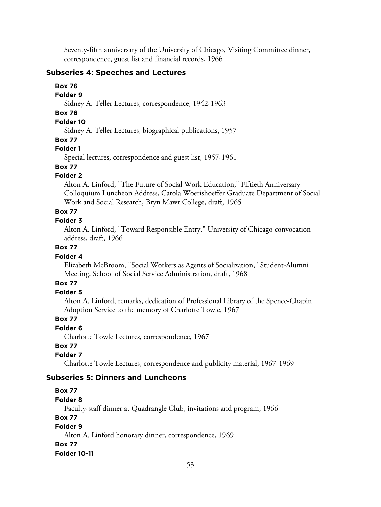Seventy-fifth anniversary of the University of Chicago, Visiting Committee dinner, correspondence, guest list and financial records, 1966

# **Subseries 4: Speeches and Lectures**

**Box 76**

## **Folder 9**

Sidney A. Teller Lectures, correspondence, 1942-1963

# **Box 76**

# **Folder 10**

Sidney A. Teller Lectures, biographical publications, 1957

## **Box 77**

# **Folder 1**

Special lectures, correspondence and guest list, 1957-1961

## **Box 77**

# **Folder 2**

Alton A. Linford, "The Future of Social Work Education," Fiftieth Anniversary Colloquium Luncheon Address, Carola Woerishoeffer Graduate Department of Social Work and Social Research, Bryn Mawr College, draft, 1965

# **Box 77**

# **Folder 3**

Alton A. Linford, "Toward Responsible Entry," University of Chicago convocation address, draft, 1966

# **Box 77**

# **Folder 4**

Elizabeth McBroom, "Social Workers as Agents of Socialization," Student-Alumni Meeting, School of Social Service Administration, draft, 1968

# **Box 77**

# **Folder 5**

Alton A. Linford, remarks, dedication of Professional Library of the Spence-Chapin Adoption Service to the memory of Charlotte Towle, 1967

# **Box 77**

## **Folder 6**

Charlotte Towle Lectures, correspondence, 1967

# **Box 77**

# **Folder 7**

Charlotte Towle Lectures, correspondence and publicity material, 1967-1969

# **Subseries 5: Dinners and Luncheons**

# **Box 77**

# **Folder 8**

Faculty-staff dinner at Quadrangle Club, invitations and program, 1966

# **Box 77**

# **Folder 9**

Alton A. Linford honorary dinner, correspondence, 1969 **Box 77 Folder 10-11**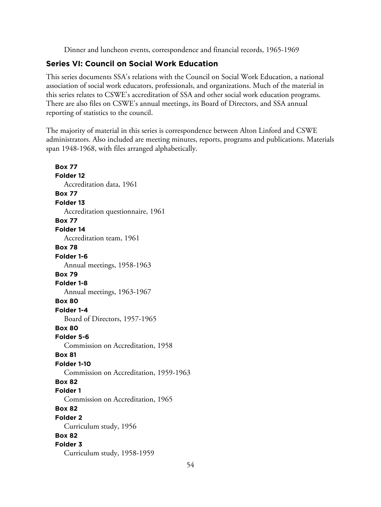Dinner and luncheon events, correspondence and financial records, 1965-1969

# **Series VI: Council on Social Work Education**

This series documents SSA's relations with the Council on Social Work Education, a national association of social work educators, professionals, and organizations. Much of the material in this series relates to CSWE's accreditation of SSA and other social work education programs. There are also files on CSWE's annual meetings, its Board of Directors, and SSA annual reporting of statistics to the council.

The majority of material in this series is correspondence between Alton Linford and CSWE administrators. Also included are meeting minutes, reports, programs and publications. Materials span 1948-1968, with files arranged alphabetically.

**Box 77 Folder 12** Accreditation data, 1961 **Box 77 Folder 13** Accreditation questionnaire, 1961 **Box 77 Folder 14** Accreditation team, 1961 **Box 78 Folder 1-6** Annual meetings, 1958-1963 **Box 79 Folder 1-8** Annual meetings, 1963-1967 **Box 80 Folder 1-4** Board of Directors, 1957-1965 **Box 80 Folder 5-6** Commission on Accreditation, 1958 **Box 81 Folder 1-10** Commission on Accreditation, 1959-1963 **Box 82 Folder 1** Commission on Accreditation, 1965 **Box 82 Folder 2** Curriculum study, 1956 **Box 82 Folder 3** Curriculum study, 1958-1959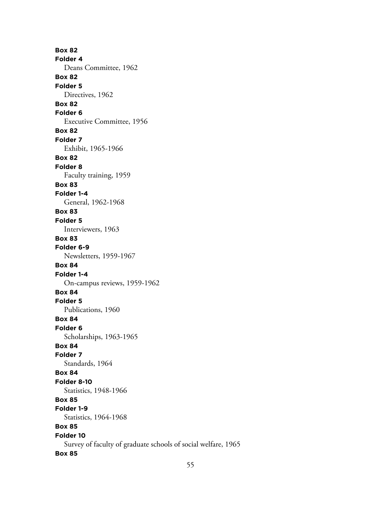**Box 82 Folder 4** Deans Committee, 1962 **Box 82 Folder 5** Directives, 1962 **Box 82 Folder 6** Executive Committee, 1956 **Box 82 Folder 7** Exhibit, 1965-1966 **Box 82 Folder 8** Faculty training, 1959 **Box 83 Folder 1-4** General, 1962-1968 **Box 83 Folder 5** Interviewers, 1963 **Box 83 Folder 6-9** Newsletters, 1959-1967 **Box 84 Folder 1-4** On-campus reviews, 1959-1962 **Box 84 Folder 5** Publications, 1960 **Box 84 Folder 6** Scholarships, 1963-1965 **Box 84 Folder 7** Standards, 1964 **Box 84 Folder 8-10** Statistics, 1948-1966 **Box 85 Folder 1-9** Statistics, 1964-1968 **Box 85 Folder 10** Survey of faculty of graduate schools of social welfare, 1965 **Box 85**